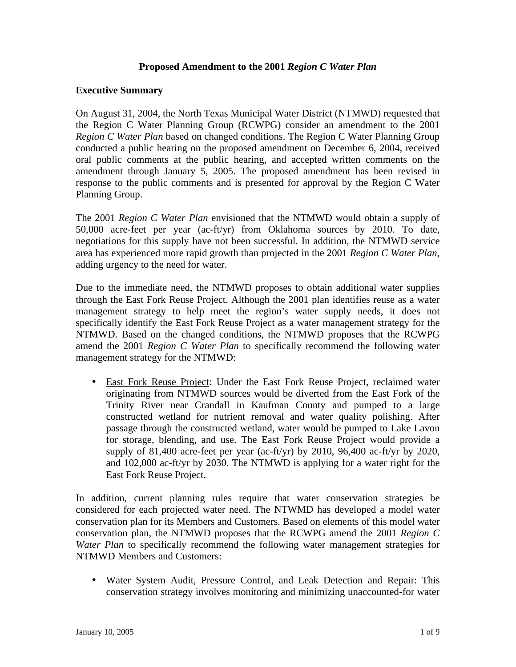## **Proposed Amendment to the 2001** *Region C Water Plan*

### **Executive Summary**

On August 31, 2004, the North Texas Municipal Water District (NTMWD) requested that the Region C Water Planning Group (RCWPG) consider an amendment to the 2001 *Region C Water Plan* based on changed conditions. The Region C Water Planning Group conducted a public hearing on the proposed amendment on December 6, 2004, received oral public comments at the public hearing, and accepted written comments on the amendment through January 5, 2005. The proposed amendment has been revised in response to the public comments and is presented for approval by the Region C Water Planning Group.

The 2001 *Region C Water Plan* envisioned that the NTMWD would obtain a supply of 50,000 acre-feet per year (ac-ft/yr) from Oklahoma sources by 2010. To date, negotiations for this supply have not been successful. In addition, the NTMWD service area has experienced more rapid growth than projected in the 2001 *Region C Water Plan*, adding urgency to the need for water.

Due to the immediate need, the NTMWD proposes to obtain additional water supplies through the East Fork Reuse Project. Although the 2001 plan identifies reuse as a water management strategy to help meet the region's water supply needs, it does not specifically identify the East Fork Reuse Project as a water management strategy for the NTMWD. Based on the changed conditions, the NTMWD proposes that the RCWPG amend the 2001 *Region C Water Plan* to specifically recommend the following water management strategy for the NTMWD:

• East Fork Reuse Project: Under the East Fork Reuse Project, reclaimed water originating from NTMWD sources would be diverted from the East Fork of the Trinity River near Crandall in Kaufman County and pumped to a large constructed wetland for nutrient removal and water quality polishing. After passage through the constructed wetland, water would be pumped to Lake Lavon for storage, blending, and use. The East Fork Reuse Project would provide a supply of 81,400 acre-feet per year (ac-ft/yr) by 2010, 96,400 ac-ft/yr by 2020, and 102,000 ac-ft/yr by 2030. The NTMWD is applying for a water right for the East Fork Reuse Project.

In addition, current planning rules require that water conservation strategies be considered for each projected water need. The NTWMD has developed a model water conservation plan for its Members and Customers. Based on elements of this model water conservation plan, the NTMWD proposes that the RCWPG amend the 2001 *Region C Water Plan* to specifically recommend the following water management strategies for NTMWD Members and Customers:

• Water System Audit, Pressure Control, and Leak Detection and Repair: This conservation strategy involves monitoring and minimizing unaccounted-for water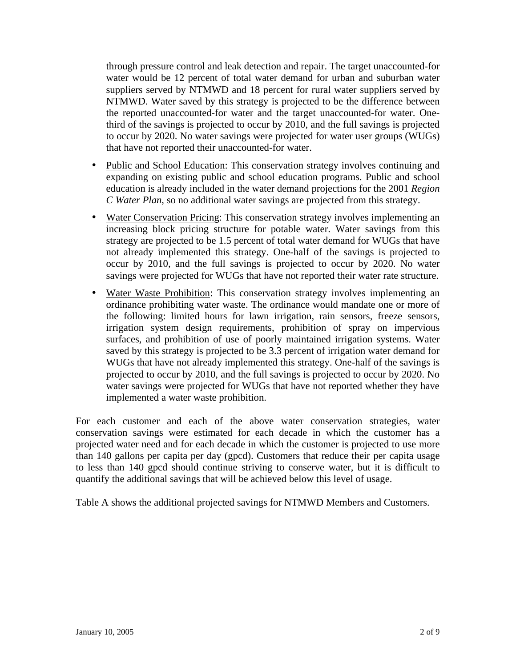through pressure control and leak detection and repair. The target unaccounted-for water would be 12 percent of total water demand for urban and suburban water suppliers served by NTMWD and 18 percent for rural water suppliers served by NTMWD. Water saved by this strategy is projected to be the difference between the reported unaccounted-for water and the target unaccounted-for water. Onethird of the savings is projected to occur by 2010, and the full savings is projected to occur by 2020. No water savings were projected for water user groups (WUGs) that have not reported their unaccounted-for water.

- Public and School Education: This conservation strategy involves continuing and expanding on existing public and school education programs. Public and school education is already included in the water demand projections for the 2001 *Region C Water Plan*, so no additional water savings are projected from this strategy.
- Water Conservation Pricing: This conservation strategy involves implementing an increasing block pricing structure for potable water. Water savings from this strategy are projected to be 1.5 percent of total water demand for WUGs that have not already implemented this strategy. One-half of the savings is projected to occur by 2010, and the full savings is projected to occur by 2020. No water savings were projected for WUGs that have not reported their water rate structure.
- Water Waste Prohibition: This conservation strategy involves implementing an ordinance prohibiting water waste. The ordinance would mandate one or more of the following: limited hours for lawn irrigation, rain sensors, freeze sensors, irrigation system design requirements, prohibition of spray on impervious surfaces, and prohibition of use of poorly maintained irrigation systems. Water saved by this strategy is projected to be 3.3 percent of irrigation water demand for WUGs that have not already implemented this strategy. One-half of the savings is projected to occur by 2010, and the full savings is projected to occur by 2020. No water savings were projected for WUGs that have not reported whether they have implemented a water waste prohibition.

For each customer and each of the above water conservation strategies, water conservation savings were estimated for each decade in which the customer has a projected water need and for each decade in which the customer is projected to use more than 140 gallons per capita per day (gpcd). Customers that reduce their per capita usage to less than 140 gpcd should continue striving to conserve water, but it is difficult to quantify the additional savings that will be achieved below this level of usage.

Table A shows the additional projected savings for NTMWD Members and Customers.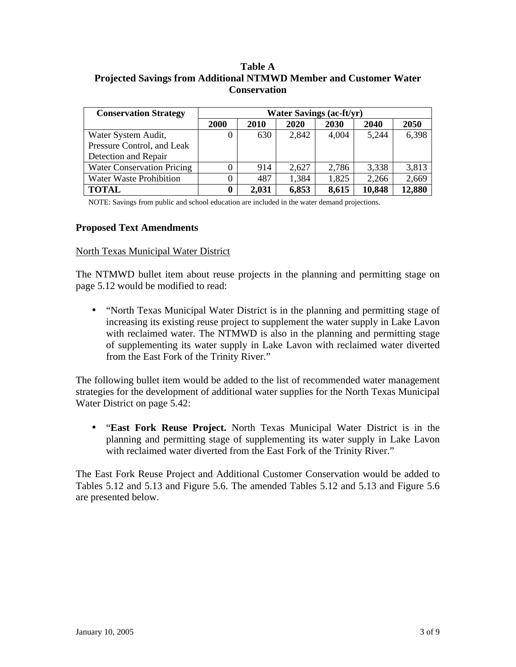# **Table A Projected Savings from Additional NTMWD Member and Customer Water Conservation**

| <b>Conservation Strategy</b>      |      |       | <b>Water Savings (ac-ft/yr)</b> |       |        |        |
|-----------------------------------|------|-------|---------------------------------|-------|--------|--------|
|                                   | 2000 | 2010  | 2020                            | 2030  | 2040   | 2050   |
| Water System Audit,               |      | 630   | 2,842                           | 4,004 | 5,244  | 6,398  |
| Pressure Control, and Leak        |      |       |                                 |       |        |        |
| Detection and Repair              |      |       |                                 |       |        |        |
| <b>Water Conservation Pricing</b> |      | 914   | 2,627                           | 2,786 | 3,338  | 3,813  |
| <b>Water Waste Prohibition</b>    |      | 487   | 1,384                           | 1,825 | 2,266  | 2,669  |
| <b>TOTAL</b>                      | 0    | 2,031 | 6,853                           | 8,615 | 10,848 | 12,880 |

NOTE: Savings from public and school education are included in the water demand projections.

### **Proposed Text Amendments**

### North Texas Municipal Water District

The NTMWD bullet item about reuse projects in the planning and permitting stage on page 5.12 would be modified to read:

• "North Texas Municipal Water District is in the planning and permitting stage of increasing its existing reuse project to supplement the water supply in Lake Lavon with reclaimed water. The NTMWD is also in the planning and permitting stage of supplementing its water supply in Lake Lavon with reclaimed water diverted from the East Fork of the Trinity River."

The following bullet item would be added to the list of recommended water management strategies for the development of additional water supplies for the North Texas Municipal Water District on page 5.42:

• "**East Fork Reuse Project.** North Texas Municipal Water District is in the planning and permitting stage of supplementing its water supply in Lake Lavon with reclaimed water diverted from the East Fork of the Trinity River."

The East Fork Reuse Project and Additional Customer Conservation would be added to Tables 5.12 and 5.13 and Figure 5.6. The amended Tables 5.12 and 5.13 and Figure 5.6 are presented below.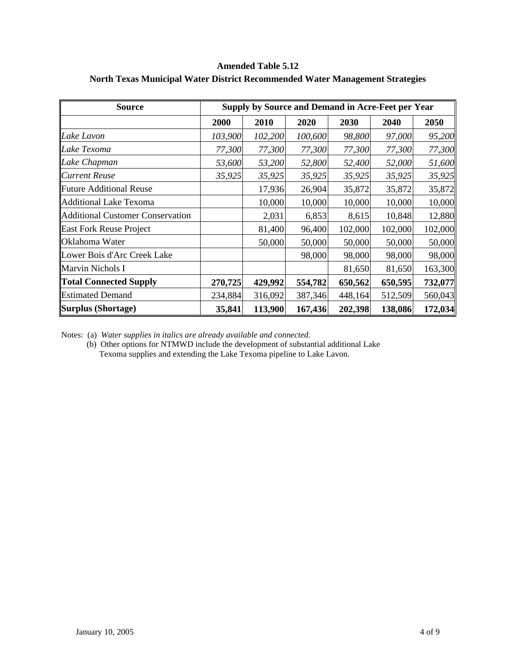### **Amended Table 5.12**

| <b>Source</b>                           |         |         | <b>Supply by Source and Demand in Acre-Feet per Year</b> |         |         |         |
|-----------------------------------------|---------|---------|----------------------------------------------------------|---------|---------|---------|
|                                         | 2000    | 2010    | 2020                                                     | 2030    | 2040    | 2050    |
| Lake Lavon                              | 103,900 | 102,200 | 100,600                                                  | 98,800  | 97,000  | 95,200  |
| Lake Texoma                             | 77,300  | 77,300  | 77,300                                                   | 77,300  | 77,300  | 77,300  |
| Lake Chapman                            | 53,600  | 53,200  | 52,800                                                   | 52,400  | 52,000  | 51,600  |
| <b>Current Reuse</b>                    | 35,925  | 35,925  | 35,925                                                   | 35,925  | 35,925  | 35,925  |
| Future Additional Reuse                 |         | 17,936  | 26,904                                                   | 35,872  | 35,872  | 35,872  |
| Additional Lake Texoma                  |         | 10,000  | 10,000                                                   | 10,000  | 10,000  | 10,000  |
| <b>Additional Customer Conservation</b> |         | 2,031   | 6,853                                                    | 8,615   | 10,848  | 12,880  |
| <b>East Fork Reuse Project</b>          |         | 81,400  | 96,400                                                   | 102,000 | 102,000 | 102,000 |
| <b>Oklahoma Water</b>                   |         | 50,000  | 50,000                                                   | 50,000  | 50,000  | 50,000  |
| Lower Bois d'Arc Creek Lake             |         |         | 98,000                                                   | 98,000  | 98,000  | 98,000  |
| Marvin Nichols I                        |         |         |                                                          | 81,650  | 81,650  | 163,300 |
| <b>Total Connected Supply</b>           | 270,725 | 429,992 | 554,782                                                  | 650,562 | 650,595 | 732,077 |
| <b>Estimated Demand</b>                 | 234,884 | 316,092 | 387,346                                                  | 448,164 | 512,509 | 560,043 |
| Surplus (Shortage)                      | 35,841  | 113,900 | 167,436                                                  | 202,398 | 138,086 | 172,034 |

## **North Texas Municipal Water District Recommended Water Management Strategies**

Notes: (a) *Water supplies in italics are already available and connected.*

(b) Other options for NTMWD include the development of substantial additional Lake Texoma supplies and extending the Lake Texoma pipeline to Lake Lavon.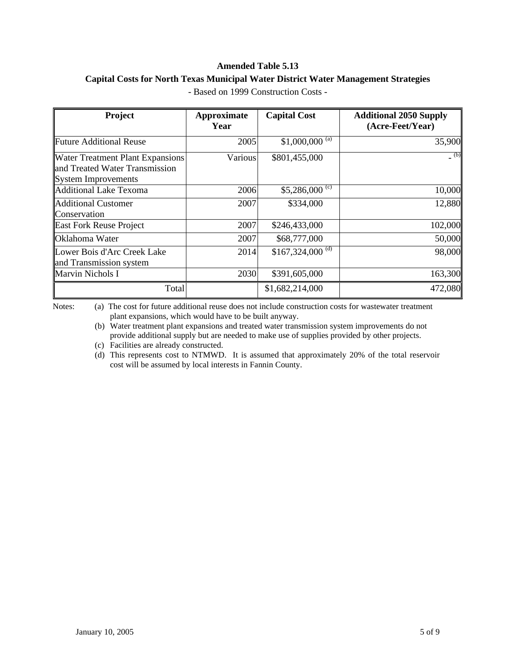### **Amended Table 5.13**

### **Capital Costs for North Texas Municipal Water District Water Management Strategies**

| Project                                                                                          | Approximate<br>Year | <b>Capital Cost</b>             | <b>Additional 2050 Supply</b><br>(Acre-Feet/Year) |
|--------------------------------------------------------------------------------------------------|---------------------|---------------------------------|---------------------------------------------------|
| <b>Future Additional Reuse</b>                                                                   | 2005                | $$1,000,000$ <sup>(a)</sup>     | 35,900                                            |
| <b>Water Treatment Plant Expansions</b><br>and Treated Water Transmission<br>System Improvements | Various             | \$801,455,000                   | (b)                                               |
| Additional Lake Texoma                                                                           | 2006                | $$5,286,000 \text{ }^{\circ}\$$ | 10,000                                            |
| <b>Additional Customer</b><br>Conservation                                                       | 2007                | \$334,000                       | 12,880                                            |
| <b>East Fork Reuse Project</b>                                                                   | 2007                | \$246,433,000                   | 102,000                                           |
| Oklahoma Water                                                                                   | 2007                | \$68,777,000                    | 50,000                                            |
| Lower Bois d'Arc Creek Lake<br>and Transmission system                                           | 2014                | $$167,324,000$ <sup>(d)</sup>   | 98,000                                            |
| <b>Marvin Nichols I</b>                                                                          | 2030                | \$391,605,000                   | 163,300                                           |
| Total                                                                                            |                     | \$1,682,214,000                 | 472,080                                           |

- Based on 1999 Construction Costs -

Notes: (a) The cost for future additional reuse does not include construction costs for wastewater treatment plant expansions, which would have to be built anyway.

(b) Water treatment plant expansions and treated water transmission system improvements do not provide additional supply but are needed to make use of supplies provided by other projects.

(c) Facilities are already constructed.

(d) This represents cost to NTMWD. It is assumed that approximately 20% of the total reservoir cost will be assumed by local interests in Fannin County.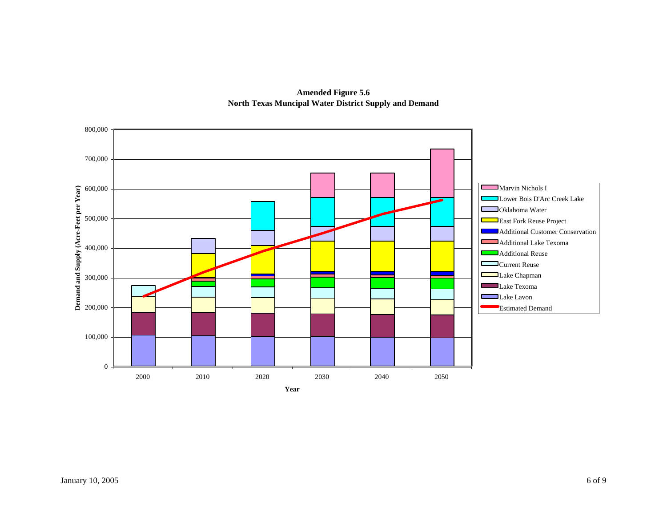

**Amended Figure 5.6 North Texas Muncipal Water District Supply and Demand**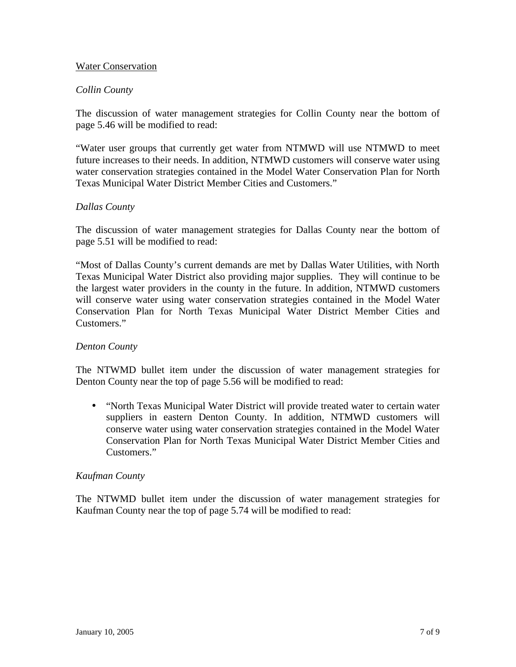### Water Conservation

## *Collin County*

The discussion of water management strategies for Collin County near the bottom of page 5.46 will be modified to read:

"Water user groups that currently get water from NTMWD will use NTMWD to meet future increases to their needs. In addition, NTMWD customers will conserve water using water conservation strategies contained in the Model Water Conservation Plan for North Texas Municipal Water District Member Cities and Customers."

## *Dallas County*

The discussion of water management strategies for Dallas County near the bottom of page 5.51 will be modified to read:

"Most of Dallas County's current demands are met by Dallas Water Utilities, with North Texas Municipal Water District also providing major supplies. They will continue to be the largest water providers in the county in the future. In addition, NTMWD customers will conserve water using water conservation strategies contained in the Model Water Conservation Plan for North Texas Municipal Water District Member Cities and Customers."

## *Denton County*

The NTWMD bullet item under the discussion of water management strategies for Denton County near the top of page 5.56 will be modified to read:

• "North Texas Municipal Water District will provide treated water to certain water suppliers in eastern Denton County. In addition, NTMWD customers will conserve water using water conservation strategies contained in the Model Water Conservation Plan for North Texas Municipal Water District Member Cities and Customers."

## *Kaufman County*

The NTWMD bullet item under the discussion of water management strategies for Kaufman County near the top of page 5.74 will be modified to read: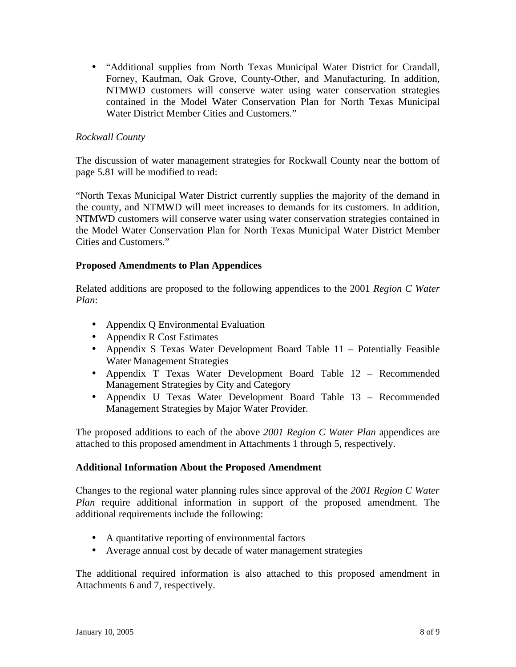• "Additional supplies from North Texas Municipal Water District for Crandall, Forney, Kaufman, Oak Grove, County-Other, and Manufacturing. In addition, NTMWD customers will conserve water using water conservation strategies contained in the Model Water Conservation Plan for North Texas Municipal Water District Member Cities and Customers."

# *Rockwall County*

The discussion of water management strategies for Rockwall County near the bottom of page 5.81 will be modified to read:

"North Texas Municipal Water District currently supplies the majority of the demand in the county, and NTMWD will meet increases to demands for its customers. In addition, NTMWD customers will conserve water using water conservation strategies contained in the Model Water Conservation Plan for North Texas Municipal Water District Member Cities and Customers."

## **Proposed Amendments to Plan Appendices**

Related additions are proposed to the following appendices to the 2001 *Region C Water Plan*:

- Appendix Q Environmental Evaluation
- Appendix R Cost Estimates
- Appendix S Texas Water Development Board Table 11 Potentially Feasible Water Management Strategies
- Appendix T Texas Water Development Board Table 12 Recommended Management Strategies by City and Category
- Appendix U Texas Water Development Board Table 13 Recommended Management Strategies by Major Water Provider.

The proposed additions to each of the above *2001 Region C Water Plan* appendices are attached to this proposed amendment in Attachments 1 through 5, respectively.

# **Additional Information About the Proposed Amendment**

Changes to the regional water planning rules since approval of the *2001 Region C Water Plan* require additional information in support of the proposed amendment. The additional requirements include the following:

- A quantitative reporting of environmental factors
- Average annual cost by decade of water management strategies

The additional required information is also attached to this proposed amendment in Attachments 6 and 7, respectively.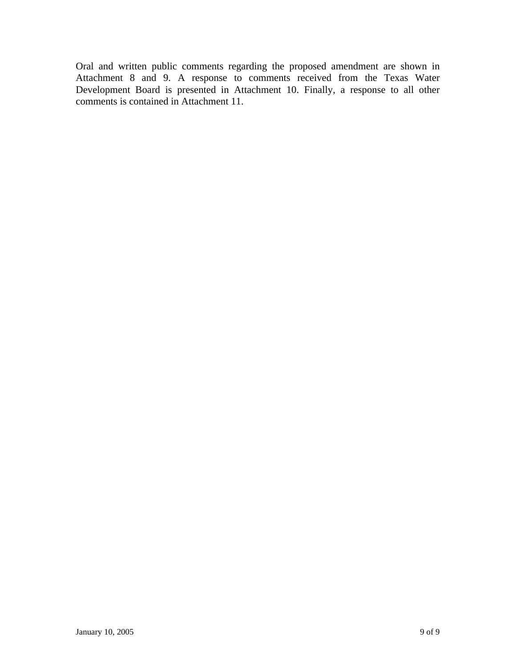Oral and written public comments regarding the proposed amendment are shown in Attachment 8 and 9. A response to comments received from the Texas Water Development Board is presented in Attachment 10. Finally, a response to all other comments is contained in Attachment 11.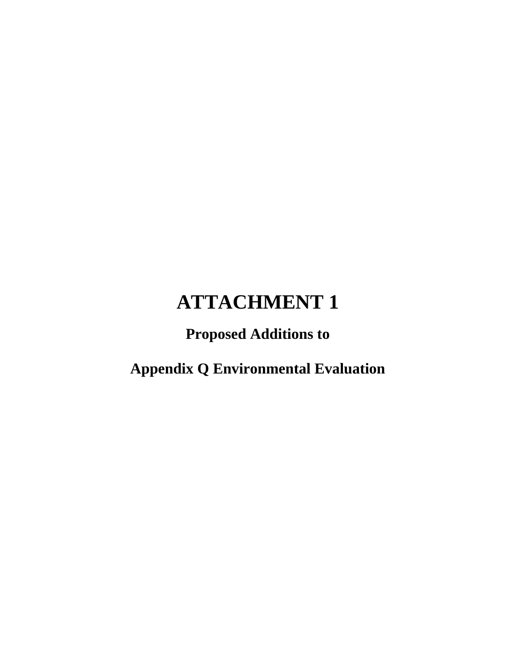# **Proposed Additions to**

**Appendix Q Environmental Evaluation**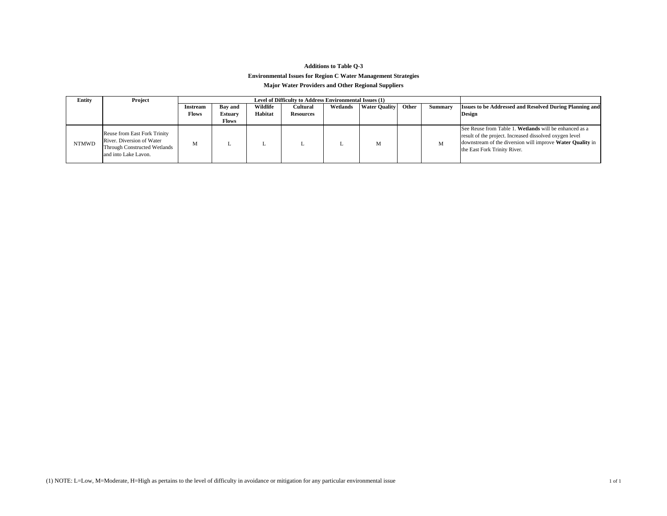### **Additions to Table Q-3 Environmental Issues for Region C Water Management Strategies**

#### **Major Water Providers and Other Regional Suppliers**

| Entity       | Project                                                                                                           |                          |                                           |                     | Level of Difficulty to Address Environmental Issues (1) |          |                      |       |         |                                                                                                                                                                                                                |
|--------------|-------------------------------------------------------------------------------------------------------------------|--------------------------|-------------------------------------------|---------------------|---------------------------------------------------------|----------|----------------------|-------|---------|----------------------------------------------------------------------------------------------------------------------------------------------------------------------------------------------------------------|
|              |                                                                                                                   | <b>Instream</b><br>Flows | <b>Bav</b> and<br><b>Estuary</b><br>Flows | Wildlife<br>Habitat | Cultural<br><b>Resources</b>                            | Wetlands | <b>Water Quality</b> | Other | Summary | <b>Issues to be Addressed and Resolved During Planning and</b><br><b>Design</b>                                                                                                                                |
| <b>NTMWD</b> | Reuse from East Fork Trinity<br>River. Diversion of Water<br>Through Constructed Wetlands<br>and into Lake Lavon. | M                        |                                           |                     |                                                         |          | M                    |       | M       | See Reuse from Table 1. Wetlands will be enhanced as a<br>result of the project. Increased dissolved oxygen level<br>downstream of the diversion will improve Water Quality in<br>the East Fork Trinity River. |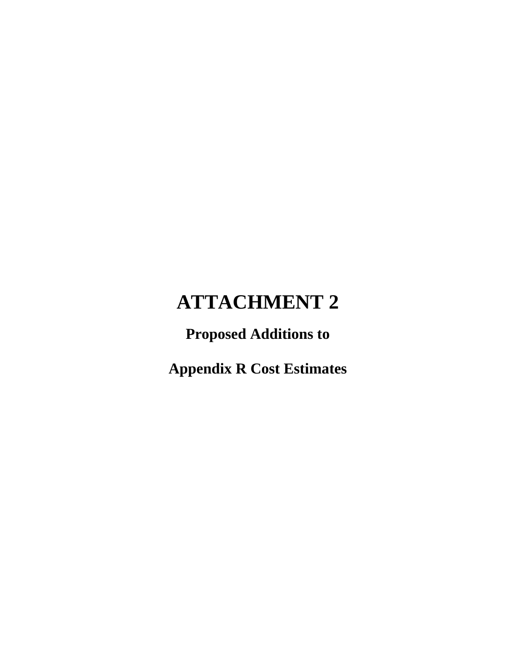# **Proposed Additions to**

**Appendix R Cost Estimates**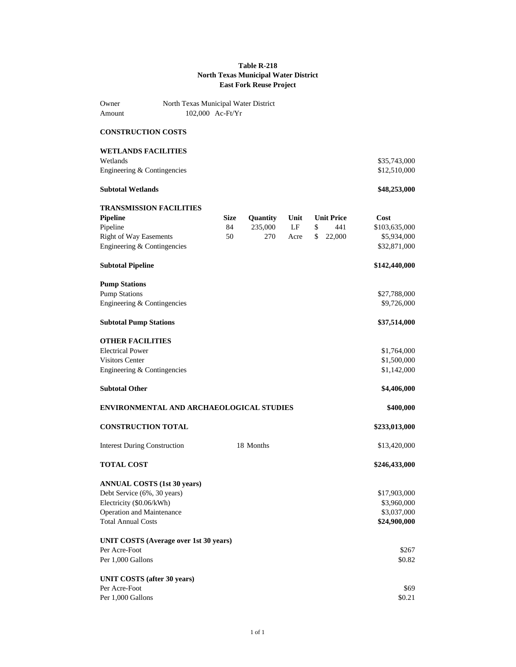#### **Table R-218 North Texas Municipal Water District East Fork Reuse Project**

| Owner<br>Amount                                              | North Texas Municipal Water District     | 102,000 Ac-Ft/Yr |                 |      |                   |                              |
|--------------------------------------------------------------|------------------------------------------|------------------|-----------------|------|-------------------|------------------------------|
| <b>CONSTRUCTION COSTS</b>                                    |                                          |                  |                 |      |                   |                              |
| <b>WETLANDS FACILITIES</b>                                   |                                          |                  |                 |      |                   |                              |
| Wetlands<br>Engineering & Contingencies                      |                                          |                  |                 |      |                   | \$35,743,000<br>\$12,510,000 |
| <b>Subtotal Wetlands</b>                                     |                                          |                  |                 |      |                   | \$48,253,000                 |
|                                                              | <b>TRANSMISSION FACILITIES</b>           |                  |                 |      |                   |                              |
| <b>Pipeline</b>                                              |                                          | <b>Size</b>      | <b>Quantity</b> | Unit | <b>Unit Price</b> | Cost                         |
| Pipeline                                                     |                                          | 84               | 235,000         | LF   | \$<br>441         | \$103,635,000                |
| <b>Right of Way Easements</b><br>Engineering & Contingencies |                                          | 50               | 270             | Acre | \$<br>22,000      | \$5,934,000<br>\$32,871,000  |
| <b>Subtotal Pipeline</b>                                     |                                          |                  |                 |      |                   | \$142,440,000                |
| <b>Pump Stations</b>                                         |                                          |                  |                 |      |                   |                              |
| <b>Pump Stations</b>                                         |                                          |                  |                 |      |                   | \$27,788,000                 |
| Engineering & Contingencies                                  |                                          |                  |                 |      |                   | \$9,726,000                  |
| <b>Subtotal Pump Stations</b>                                |                                          |                  |                 |      |                   | \$37,514,000                 |
| <b>OTHER FACILITIES</b>                                      |                                          |                  |                 |      |                   |                              |
| <b>Electrical Power</b>                                      |                                          |                  |                 |      |                   | \$1,764,000                  |
| <b>Visitors Center</b><br>Engineering & Contingencies        |                                          |                  |                 |      |                   | \$1,500,000<br>\$1,142,000   |
|                                                              |                                          |                  |                 |      |                   |                              |
| <b>Subtotal Other</b>                                        |                                          |                  |                 |      |                   | \$4,406,000                  |
|                                                              | ENVIRONMENTAL AND ARCHAEOLOGICAL STUDIES |                  |                 |      |                   | \$400,000                    |
|                                                              | <b>CONSTRUCTION TOTAL</b>                |                  |                 |      |                   | \$233,013,000                |
| <b>Interest During Construction</b>                          |                                          |                  | 18 Months       |      |                   | \$13,420,000                 |
| <b>TOTAL COST</b>                                            |                                          |                  |                 |      |                   | \$246,433,000                |
|                                                              | <b>ANNUAL COSTS (1st 30 years)</b>       |                  |                 |      |                   |                              |
| Debt Service (6%, 30 years)                                  |                                          |                  |                 |      |                   | \$17,903,000                 |
| Electricity (\$0.06/kWh)                                     |                                          |                  |                 |      |                   | \$3,960,000                  |
| Operation and Maintenance<br><b>Total Annual Costs</b>       |                                          |                  |                 |      |                   | \$3,037,000<br>\$24,900,000  |
|                                                              |                                          |                  |                 |      |                   |                              |
|                                                              | UNIT COSTS (Average over 1st 30 years)   |                  |                 |      |                   |                              |
| Per Acre-Foot                                                |                                          |                  |                 |      |                   | \$267                        |
| Per 1,000 Gallons                                            |                                          |                  |                 |      |                   | \$0.82                       |
|                                                              | <b>UNIT COSTS</b> (after 30 years)       |                  |                 |      |                   |                              |
| Per Acre-Foot                                                |                                          |                  |                 |      |                   | \$69                         |
| Per 1,000 Gallons                                            |                                          |                  |                 |      |                   | \$0.21                       |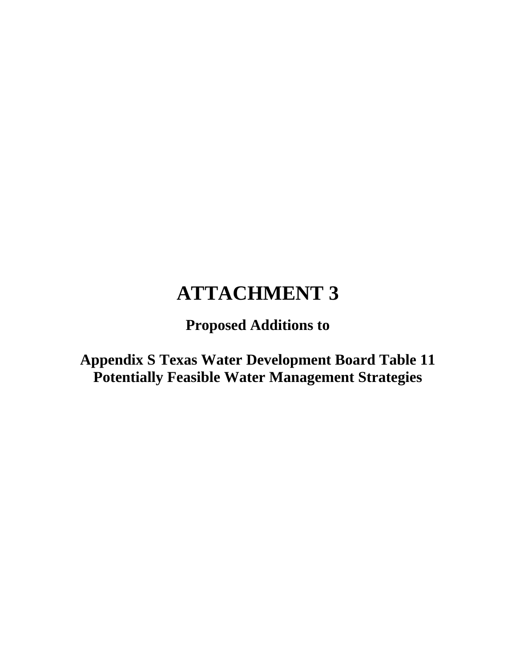**Proposed Additions to**

**Appendix S Texas Water Development Board Table 11 Potentially Feasible Water Management Strategies**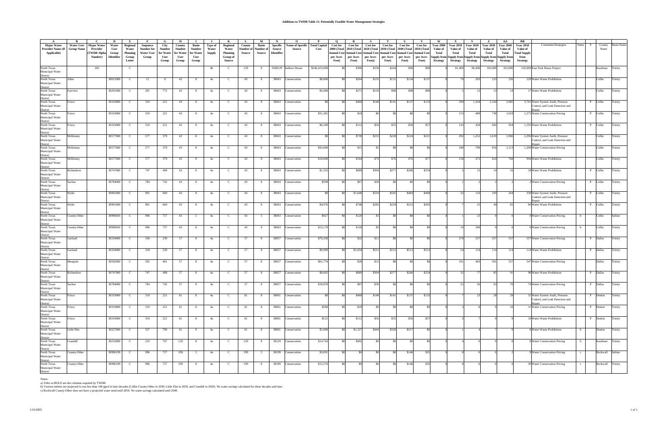| $\mathbf{A}$                                                                                                                                                                                    |                   |                  | D          | E            |                   | G             | Н             |                |               |                 | <b>L</b>  | $\mathbf{M}$   | N               | $\mathbf{o}$            | $\mathbf{P}$        |                 |                                     |                 |                 |                                                                         |                         | W                | $\mathbf{x}$                                    |                  | Z                | AA               | BВ                  |                                      |              |              |                  |                   |
|-------------------------------------------------------------------------------------------------------------------------------------------------------------------------------------------------|-------------------|------------------|------------|--------------|-------------------|---------------|---------------|----------------|---------------|-----------------|-----------|----------------|-----------------|-------------------------|---------------------|-----------------|-------------------------------------|-----------------|-----------------|-------------------------------------------------------------------------|-------------------------|------------------|-------------------------------------------------|------------------|------------------|------------------|---------------------|--------------------------------------|--------------|--------------|------------------|-------------------|
| <b>Major Water</b>                                                                                                                                                                              | <b>Water User</b> | Major Water      | Water      | Regional     | Sequence          | City          | County        | Basin          | Type of       | <b>Regional</b> | County    | Basin          | <b>Specific</b> | <b>Name of Specific</b> | <b>Total Capita</b> | <b>Cost for</b> | <b>Cost for</b>                     | <b>Cost for</b> | <b>Cost for</b> | <b>Cost for</b>                                                         | <b>Cost for</b>         | <b>Year 2000</b> | <b>Year 2010</b>                                | <b>Year 2020</b> | <b>Year 2030</b> | <b>Year 2040</b> | <b>Year 2050</b>    | Comments/Strategies                  | <b>Notes</b> |              | County           | <b>Basin Name</b> |
| Provider Name (If                                                                                                                                                                               | <b>Group Name</b> | Provider         | User       | Water        | Number for        | <b>Number</b> | <b>Number</b> | Number         | Water         | Water           | Number of | Number o       | Source          | Source                  | Cost                |                 | 2000 (Total 2010 (Total 2020 (Total |                 | 2030 (Total     |                                                                         | 2040 (Total 2050 (Total | Value of         | Value of                                        | Value of         | <b>Value of</b>  | Value of         | Value of            |                                      |              |              | Name             |                   |
| Applicable)                                                                                                                                                                                     |                   | <b>TWDB</b> Alph | Group      | Planning     | <b>Water User</b> | for Water     | for Water     | for Water      | <b>Supply</b> | Planning        | Source    | Source         | Identifier      |                         |                     |                 |                                     |                 |                 | Annual Cost Annual Cost Annual Cost Annual Cost Annual Cost Annual Cost |                         | Total            | Total                                           | Total            | Total            | Total            | <b>Total Supply</b> |                                      |              |              |                  |                   |
|                                                                                                                                                                                                 |                   | Number)          | Identifier | Group        | Group             | User          | User          | User           |               | Group of        |           |                |                 |                         |                     | per Acre-       | per Acre-                           | per Acre-       | per Acre-       | per Acre-                                                               | per Acre-               |                  | Supply from Supply from Supply from Supply from |                  |                  | Supply from      | from                |                                      |              |              |                  |                   |
|                                                                                                                                                                                                 |                   |                  |            | Letter       |                   | Group         | Group         | Group          |               | Source          |           |                |                 |                         |                     | Foot)           | Foot)                               | Foot))          | Foot)           | Foot)                                                                   | Foot)                   | <b>Strategy</b>  | <b>Strategy</b>                                 | Strategy         | <b>Strategy</b>  | <b>Strategy</b>  | <b>Strategy</b>     |                                      |              |              |                  |                   |
| North Texas                                                                                                                                                                                     |                   | 160              |            | - C          |                   |               |               |                | 4b            |                 | 129       | 8              |                 | 3508129 Indirect Reuse  | \$246,433,000       |                 | \$306                               | \$258           | \$244           | \$69                                                                    | \$69                    |                  | 81,400                                          | 96,400           | 102,000          | 102,000          |                     | 102,000 East Fork Reuse Project      |              |              | Kaufman          | Trinity           |
| Municipal Water                                                                                                                                                                                 |                   |                  |            |              |                   |               |               |                |               |                 |           |                |                 |                         |                     |                 |                                     |                 |                 |                                                                         |                         |                  |                                                 |                  |                  |                  |                     |                                      |              |              |                  |                   |
| District<br>North Texas                                                                                                                                                                         |                   |                  |            |              |                   |               |               |                |               |                 |           |                |                 |                         |                     |                 |                                     |                 |                 |                                                                         |                         |                  |                                                 |                  |                  |                  |                     |                                      |              |              |                  |                   |
|                                                                                                                                                                                                 | Allen             |                  | 30012000   | $\mathbf{C}$ | 12                | -8            | 43            | 8              | 4a            | -C.             | 43        | 8              | 38043           | Conservation            | \$8,800             | -\$0            | \$264                               | \$135           | \$131           | \$134                                                                   | \$137                   |                  |                                                 | -20              | 223              | 226              |                     | 229 Water Waste Prohibition          |              |              | Collin           | Trinity           |
| Municipal Water                                                                                                                                                                                 |                   |                  |            |              |                   |               |               |                |               |                 |           |                |                 |                         |                     |                 |                                     |                 |                 |                                                                         |                         |                  |                                                 |                  |                  |                  |                     |                                      |              |              |                  |                   |
| Numerpar Wa<br>District<br>North Texas                                                                                                                                                          |                   |                  |            |              |                   |               |               |                |               |                 |           |                |                 |                         |                     |                 |                                     |                 |                 |                                                                         |                         |                  |                                                 |                  |                  |                  |                     |                                      |              |              |                  |                   |
|                                                                                                                                                                                                 | airview           |                  | 30291000   | C            | 291               | 772           | 43            | 8              | 4a            | <sup>.</sup>    | 43        | 8              | 38043           | Conservation            | \$5,000             | -\$0            | \$271                               | \$134           | \$98            | \$98                                                                    | <b>S99</b>              |                  |                                                 |                  |                  |                  |                     | 17 Water Waste Prohibition           |              |              | Collin           | Trinity           |
| Municipal Water                                                                                                                                                                                 |                   |                  |            |              |                   |               |               |                |               |                 |           |                |                 |                         |                     |                 |                                     |                 |                 |                                                                         |                         |                  |                                                 |                  |                  |                  |                     |                                      |              |              |                  |                   |
|                                                                                                                                                                                                 |                   |                  |            |              |                   |               |               |                |               |                 |           |                |                 |                         |                     |                 |                                     |                 |                 |                                                                         |                         |                  |                                                 |                  |                  |                  |                     |                                      |              |              |                  |                   |
| Municipal Water<br>District<br>North Texas<br>Municipal Water                                                                                                                                   | risco             |                  | 30319000   | $\mathbf{C}$ | 319               | 221           | 43            | 8              | 4a            | C               | 43        | 8 <sup>8</sup> | 38043           | Conservation            | \$0                 | \$0             | \$468                               | \$148           | \$141           | \$137                                                                   | \$133                   |                  | 299                                             | 1,434            | 2,164            | 2,985            |                     | 3,741 Water System Audit, Pressure   |              | P Collin     |                  | Trinity           |
|                                                                                                                                                                                                 |                   |                  |            |              |                   |               |               |                |               |                 |           |                |                 |                         |                     |                 |                                     |                 |                 |                                                                         |                         |                  |                                                 |                  |                  |                  |                     | Control, and Leak Detection and      |              |              |                  |                   |
| District<br>North Texas                                                                                                                                                                         | risco             |                  | 30319000   | C            | 319               | 221           | 43            | - 8            | 4a            | C               | 43        | - 8            | 38043           | Conservation            | \$31,281            |                 | \$18                                |                 |                 |                                                                         |                         |                  | 153                                             | 489              |                  | 1,018            |                     | 1,275 Water Conservation Pricing     |              | P Collin     |                  | Trinity           |
| Municipal Water                                                                                                                                                                                 |                   |                  |            |              |                   |               |               |                |               |                 |           |                |                 |                         |                     |                 |                                     |                 |                 |                                                                         |                         |                  |                                                 |                  |                  |                  |                     |                                      |              |              |                  |                   |
|                                                                                                                                                                                                 |                   |                  |            |              |                   |               |               |                |               |                 |           |                |                 |                         |                     |                 |                                     |                 |                 |                                                                         |                         |                  |                                                 |                  |                  |                  |                     |                                      |              |              |                  |                   |
| District<br>North Texas                                                                                                                                                                         | risco             |                  | 30319000   | C            | 319               | 221           | 43            | 8              | 4a            | - C             | 43        | 8              | 38043           | Conservation            | \$6,500             |                 | \$112                               | \$56            | \$55            | \$56                                                                    | \$57                    |                  | 143                                             | 458              | 692              | 954              |                     | 1,195 Water Waste Prohibition        |              | P Collin     |                  | Trinity           |
| Municipal Water                                                                                                                                                                                 |                   |                  |            |              |                   |               |               |                |               |                 |           |                |                 |                         |                     |                 |                                     |                 |                 |                                                                         |                         |                  |                                                 |                  |                  |                  |                     |                                      |              |              |                  |                   |
| District<br>North Texas                                                                                                                                                                         |                   |                  |            |              |                   |               |               |                |               |                 |           |                |                 |                         |                     |                 |                                     |                 |                 |                                                                         |                         |                  |                                                 |                  |                  |                  |                     |                                      |              |              |                  |                   |
|                                                                                                                                                                                                 | McKinney          |                  | 30577000   | C            | 577               | 379           | 43            | 8              | 4a            | - C             | 43        | 8              | 38043           | Conservation            | - \$0               |                 | \$730                               | \$233           | \$228           | \$224                                                                   | \$221                   |                  | 292                                             | 1,252            | 1,619            | 1,966            |                     | 2,296 Water System Audit, Pressure   |              |              | Collin           | Trinity           |
| Municipal Water                                                                                                                                                                                 |                   |                  |            |              |                   |               |               |                |               |                 |           |                |                 |                         |                     |                 |                                     |                 |                 |                                                                         |                         |                  |                                                 |                  |                  |                  |                     | Control, and Leak Detection and      |              |              |                  |                   |
| District<br>North Texas                                                                                                                                                                         |                   |                  |            |              |                   |               |               |                |               |                 |           |                |                 |                         |                     |                 |                                     |                 |                 |                                                                         |                         |                  |                                                 |                  |                  |                  |                     |                                      |              |              |                  |                   |
|                                                                                                                                                                                                 | McKinney          |                  | 30577000   | C            | 577               | 379           | 43            | 8              | 4a            | - C             | 43        | 8              | 38043           | Conservation            | \$42,000            | -SO             | \$15                                | S5              |                 |                                                                         |                         |                  | 248                                             | 709              | 916              | 1,113            |                     | 1,299 Water Conservation Pricing     |              |              | Collin           | Trinity           |
|                                                                                                                                                                                                 |                   |                  |            |              |                   |               |               |                |               |                 |           |                |                 |                         |                     |                 |                                     |                 |                 |                                                                         |                         |                  |                                                 |                  |                  |                  |                     |                                      |              |              |                  |                   |
| Municipal Water<br>District<br>North Texas                                                                                                                                                      |                   |                  |            |              |                   |               |               |                |               |                 |           |                |                 |                         |                     |                 |                                     |                 |                 |                                                                         |                         |                  |                                                 |                  |                  |                  |                     |                                      |              |              |                  |                   |
| Municipal Water                                                                                                                                                                                 | McKinney          |                  | 30577000   | C            | 577               | 379           | 43            | - 8            | 4a            |                 | 43        | 8              | 38043           | Conservation            | \$10,000            |                 | \$164                               | \$79            | -S7             | \$76                                                                    | \$77                    |                  |                                                 | 472              | 624              |                  |                     | 904 Water Waste Prohibition          |              |              | Collin           | Trinity           |
|                                                                                                                                                                                                 |                   |                  |            |              |                   |               |               |                |               |                 |           |                |                 |                         |                     |                 |                                     |                 |                 |                                                                         |                         |                  |                                                 |                  |                  |                  |                     |                                      |              |              |                  |                   |
| District<br>North Texas                                                                                                                                                                         | Richardson        |                  | 30747000   | C            | 747               | 498           | 43            | - 8            | 4a            | <sup>-</sup> C  | 43        | 8              | 38043           | Conservation            | \$1,335             |                 | \$689                               | \$304           | \$27            | \$266                                                                   | \$254                   |                  |                                                 |                  |                  |                  |                     | 18 Water Waste Prohibition           |              | $\mathbf{P}$ | Collin           | Trinity           |
|                                                                                                                                                                                                 |                   |                  |            |              |                   |               |               |                |               |                 |           |                |                 |                         |                     |                 |                                     |                 |                 |                                                                         |                         |                  |                                                 |                  |                  |                  |                     |                                      |              |              |                  |                   |
| Municipal Water<br>District<br>District<br>North Texas                                                                                                                                          |                   |                  |            |              |                   |               |               |                |               |                 |           |                |                 |                         |                     |                 |                                     |                 |                 |                                                                         |                         |                  |                                                 |                  |                  |                  |                     |                                      |              |              |                  |                   |
|                                                                                                                                                                                                 | Sachse            |                  | 30784000   | C            | 784               | 742           | 43            | 8              | 4a            |                 | 43        | 8              | 38043           | Conservation            | \$599               |                 | \$67                                | \$30            |                 |                                                                         |                         |                  |                                                 |                  |                  |                  |                     | Water Conservation Pricing           |              | $\mathbf{P}$ | Collin           | Trinity           |
| Municipal Water<br>District<br>North Texas                                                                                                                                                      |                   |                  |            |              |                   |               |               |                |               |                 |           |                |                 |                         |                     |                 |                                     |                 |                 |                                                                         |                         |                  |                                                 |                  |                  |                  |                     |                                      |              |              |                  |                   |
|                                                                                                                                                                                                 |                   |                  |            |              |                   |               |               |                |               |                 |           |                |                 |                         |                     |                 |                                     |                 |                 |                                                                         |                         |                  |                                                 |                  |                  |                  |                     |                                      |              |              |                  |                   |
|                                                                                                                                                                                                 | Wylie             |                  | 30991000   | C            | 991               | 669           | 43            | 8              | 4a            | -C              | 43        | - 8            | 38043           | Conservation            | -80                 |                 | \$1,640                             | \$534           | \$505           | \$483                                                                   | \$469                   |                  |                                                 |                  | 193              | 264              |                     | 330 Water System Audit, Pressure     |              | $\mathbf{P}$ | Collin           | Trinity           |
|                                                                                                                                                                                                 |                   |                  |            |              |                   |               |               |                |               |                 |           |                |                 |                         |                     |                 |                                     |                 |                 |                                                                         |                         |                  |                                                 |                  |                  |                  |                     | Control, and Leak Detection and      |              |              |                  |                   |
|                                                                                                                                                                                                 |                   |                  |            |              |                   |               |               |                |               |                 |           |                |                 |                         |                     |                 |                                     |                 |                 |                                                                         |                         |                  |                                                 |                  |                  |                  |                     |                                      |              |              |                  |                   |
|                                                                                                                                                                                                 | Wylie             |                  | 30991000   | - C          | 991               | 669           | 43            | 8              | 4a            |                 | 43        | 8              | 38043           | Conservation            | \$4,976             |                 | \$746                               | \$282           | \$229           | \$212                                                                   | \$205                   |                  |                                                 |                  |                  |                  |                     | 84 Water Waste Prohibition           |              | $\mathbf{P}$ | Collin           | Trinity           |
|                                                                                                                                                                                                 |                   |                  |            |              |                   |               |               |                |               |                 |           |                |                 |                         |                     |                 |                                     |                 |                 |                                                                         |                         |                  |                                                 |                  |                  |                  |                     |                                      |              |              |                  |                   |
| North Texas<br>Municipal Water<br>District<br>North Texas<br>Municipal Water<br>District<br>North Texas<br>District<br>Nunicipal Water<br>Municipal Water<br>Municipal Water<br>Municipal Water | ounty-Other       |                  | 30996043   | -C           | 996               | 757           | 43            |                | 4a            |                 | 43        | - 5            | 38043           | Conservation            | \$927               |                 | \$120                               |                 |                 |                                                                         |                         |                  |                                                 |                  |                  |                  |                     | 0 Water Conservation Pricing         |              |              | Collin           | Sabine            |
|                                                                                                                                                                                                 |                   |                  |            |              |                   |               |               |                |               |                 |           |                |                 |                         |                     |                 |                                     |                 |                 |                                                                         |                         |                  |                                                 |                  |                  |                  |                     |                                      |              |              |                  |                   |
|                                                                                                                                                                                                 |                   |                  |            |              |                   |               |               |                |               |                 |           |                |                 |                         |                     |                 |                                     |                 |                 |                                                                         |                         |                  |                                                 |                  |                  |                  |                     |                                      |              |              |                  |                   |
|                                                                                                                                                                                                 | ounty-Other       |                  | 30996043   | - C          | 996               | 757           | 43            | 8              | 4a            | C               | 43        | 8              | 38043           | Conservation            | \$13,170            |                 | \$120                               | \$3             |                 |                                                                         |                         |                  |                                                 | 340              |                  |                  |                     | 0 Water Conservation Pricing         | b            |              | Collin           | Trinity           |
|                                                                                                                                                                                                 |                   |                  |            |              |                   |               |               |                |               |                 |           |                |                 |                         |                     |                 |                                     |                 |                 |                                                                         |                         |                  |                                                 |                  |                  |                  |                     |                                      |              |              |                  |                   |
| District<br>North Texas                                                                                                                                                                         |                   |                  |            |              |                   |               |               |                |               |                 |           |                |                 |                         |                     |                 |                                     |                 |                 |                                                                         |                         |                  |                                                 |                  |                  |                  |                     |                                      |              |              |                  |                   |
|                                                                                                                                                                                                 | <b>Garland</b>    |                  | 30334000   | C            | 334               | 230           | 57            | 8              | 4a            | - C             | 57        | 8              | 38057           | Conservation            | \$70,358            |                 | \$22                                | \$11            |                 |                                                                         |                         |                  | 278                                             | 557              | 557              | 557              |                     | 557 Water Conservation Pricing       |              | P            | Dallas           | Trinity           |
| Municipal Water                                                                                                                                                                                 |                   |                  |            |              |                   |               |               |                |               |                 |           |                |                 |                         |                     |                 |                                     |                 |                 |                                                                         |                         |                  |                                                 |                  |                  |                  |                     |                                      |              |              |                  |                   |
|                                                                                                                                                                                                 |                   |                  |            |              |                   |               |               |                |               |                 |           |                |                 |                         |                     |                 |                                     |                 |                 |                                                                         |                         |                  |                                                 |                  |                  |                  |                     |                                      |              |              |                  |                   |
| Maincipal<br>Morth Texas<br>Municipal Water                                                                                                                                                     | Jarland           |                  | 30334000   | - C          | 334               | 230           | 57            | 8              | 4a            | - C             | 57        | 8              | 38057           | Conservation            | \$9,999             |                 | \$1,054                             | \$521           | \$513           | \$513                                                                   | \$513                   |                  |                                                 |                  | 114              | 114              |                     | 114 Water Waste Prohibition          |              | $\mathbf{P}$ | Dallas           | Trinity           |
|                                                                                                                                                                                                 |                   |                  |            |              |                   |               |               |                |               |                 |           |                |                 |                         |                     |                 |                                     |                 |                 |                                                                         |                         |                  |                                                 |                  |                  |                  |                     |                                      |              |              |                  |                   |
| District<br>North Texas                                                                                                                                                                         | Mesquite          |                  | 30592000   | - C          | 592               | 401           | 57            | - 8            | 4a            | <sup>-</sup> C  | 57        | - 8            | 38057           | Conservation            | \$61,774            |                 | \$28                                | \$12            |                 |                                                                         |                         |                  |                                                 | $44^{\circ}$     | 501              | 557              |                     | 547 Water Conservation Pricing       |              |              | Dallas           | Trinity           |
| Municipal Water                                                                                                                                                                                 |                   |                  |            |              |                   |               |               |                |               |                 |           |                |                 |                         |                     |                 |                                     |                 |                 |                                                                         |                         |                  |                                                 |                  |                  |                  |                     |                                      |              |              |                  |                   |
|                                                                                                                                                                                                 |                   |                  |            |              |                   |               |               |                |               |                 |           |                |                 |                         |                     |                 |                                     |                 |                 |                                                                         |                         |                  |                                                 |                  |                  |                  |                     |                                      |              |              |                  |                   |
| District<br>North Texas                                                                                                                                                                         | Richardson        |                  | 30747000   | C            | 747               | 498           | 57            | 8              | 4a            | <sup>-</sup> C  | 57        | - 8            | 38057           | Conservation            | \$8,665             | -80             | \$689                               | \$304           | \$27            | \$266                                                                   | \$254                   |                  |                                                 |                  |                  |                  |                     | 98 Water Waste Prohibition           |              | P Dallas     |                  | Trinity           |
| Municipal Water                                                                                                                                                                                 |                   |                  |            |              |                   |               |               |                |               |                 |           |                |                 |                         |                     |                 |                                     |                 |                 |                                                                         |                         |                  |                                                 |                  |                  |                  |                     |                                      |              |              |                  |                   |
| District<br>North Texas                                                                                                                                                                         |                   |                  |            |              |                   |               |               |                |               |                 |           |                |                 |                         |                     |                 |                                     |                 |                 |                                                                         |                         |                  |                                                 |                  |                  |                  |                     |                                      |              |              |                  |                   |
|                                                                                                                                                                                                 | Sachse            |                  | 30784000   | $\mathbf{C}$ | 784               | 742           | 57            |                | 4a            |                 | 57        | - 8            | 38057           | Conservation            | \$18,959            |                 | \$67                                | \$30            |                 |                                                                         |                         |                  |                                                 |                  |                  |                  |                     | 4 Water Conservation Pricing         |              | P Dallas     |                  | Trinity           |
| Municipal Water<br>District<br>North Texas                                                                                                                                                      |                   |                  |            |              |                   |               |               |                |               |                 |           |                |                 |                         |                     |                 |                                     |                 |                 |                                                                         |                         |                  |                                                 |                  |                  |                  |                     |                                      |              |              |                  |                   |
|                                                                                                                                                                                                 |                   |                  |            |              |                   |               |               |                |               |                 |           |                |                 |                         |                     |                 |                                     |                 |                 |                                                                         |                         |                  |                                                 |                  |                  |                  |                     |                                      |              |              |                  |                   |
|                                                                                                                                                                                                 | risco             |                  | 30319000   | $\mathbf{C}$ | 319               | 221           | 61            | 8              | 4a            | $\mathbf C$     | 61        | 8              | 38061           | Conservation            | \$0                 | - \$0           | \$468                               | \$148           | \$141           | \$137                                                                   | \$133                   |                  |                                                 |                  | 28               |                  |                     | 31 Water System Audit, Pressure      |              | P Denton     |                  | Trinity           |
| North Texas<br>Municipal Water<br>District<br>North Texas                                                                                                                                       |                   |                  |            |              |                   |               |               |                |               |                 |           |                |                 |                         |                     |                 |                                     |                 |                 |                                                                         |                         |                  |                                                 |                  |                  |                  |                     | Control, and Leak Detection and      |              |              |                  |                   |
|                                                                                                                                                                                                 | risco             |                  | 30319000   | $\mathbf{C}$ | 319               | 221           | 61            |                |               |                 | 61        | 8              | 38061           | Conservation            | \$580               |                 | \$18                                | Sε              |                 |                                                                         | \$0                     |                  |                                                 |                  |                  |                  |                     | 11 Water Conservation Pricing        |              | $\mathbf{P}$ | Denton           | Trinity           |
|                                                                                                                                                                                                 |                   |                  |            |              |                   |               |               | 8              | 4a            | C               |           |                |                 |                         |                     |                 |                                     |                 |                 |                                                                         |                         |                  |                                                 |                  |                  |                  |                     |                                      |              |              |                  |                   |
|                                                                                                                                                                                                 |                   |                  |            |              |                   |               |               |                |               |                 |           |                |                 |                         |                     |                 |                                     |                 |                 |                                                                         |                         |                  |                                                 |                  |                  |                  |                     |                                      |              |              |                  |                   |
|                                                                                                                                                                                                 | risco             |                  | 30319000   | $\mathbf{C}$ | 319               | 221           | 61            | 8              | 4a            | C.              | 61        | 8              | 38061           | Conservation            | \$121               | - \$0           | \$112                               | \$56            | \$55            | \$56                                                                    | \$57                    |                  |                                                 |                  |                  |                  |                     | 10 Water Waste Prohibition           |              | P Denton     |                  | Trinity           |
|                                                                                                                                                                                                 |                   |                  |            |              |                   |               |               |                |               |                 |           |                |                 |                         |                     |                 |                                     |                 |                 |                                                                         |                         |                  |                                                 |                  |                  |                  |                     |                                      |              |              |                  |                   |
| North Texas<br>Municipal Water<br>District<br>North Texas<br>Municipal Water<br>District<br>North Texas                                                                                         |                   |                  |            |              |                   |               |               |                |               |                 |           |                |                 |                         |                     |                 |                                     |                 |                 |                                                                         |                         |                  |                                                 |                  |                  |                  |                     |                                      |              |              |                  |                   |
|                                                                                                                                                                                                 | ittle Elm         |                  | 30527000   | $\mathbf{C}$ | 527               | 790           | -61           | 8              | 4a            | -C              | 61        | - 8            | 38061           | Conservation            | \$5,000             |                 | \$1,327                             | \$444           | \$328           | \$317                                                                   | SO.                     |                  |                                                 |                  |                  |                  |                     | 0 Water Waste Prohibition            | b            |              | Denton           | Trinity           |
|                                                                                                                                                                                                 |                   |                  |            |              |                   |               |               |                |               |                 |           |                |                 |                         |                     |                 |                                     |                 |                 |                                                                         |                         |                  |                                                 |                  |                  |                  |                     |                                      |              |              |                  |                   |
|                                                                                                                                                                                                 |                   |                  |            |              |                   |               |               |                |               |                 |           |                |                 |                         |                     |                 |                                     |                 |                 |                                                                         |                         |                  |                                                 |                  |                  |                  |                     |                                      |              |              |                  |                   |
|                                                                                                                                                                                                 | randall           |                  | 30210000   | $\mathbf{C}$ | 210               | 767           | 129           | 8              | 4a            | C               | 129       | 8 <sup>8</sup> | 38129           | Conservation            | \$14,743            | - \$0           | \$492                               | S <sub>0</sub>  | - SC            | -\$0                                                                    | - \$0                   |                  |                                                 |                  |                  |                  |                     | 0 Water Conservation Pricing         | b            |              | Kaufman Trinity  |                   |
| North Texas<br>Municipal Water<br>District<br>North Texas<br>Municipal Water<br>District<br>North Texas                                                                                         |                   |                  |            |              |                   |               |               |                |               |                 |           |                |                 |                         |                     |                 |                                     |                 |                 |                                                                         |                         |                  |                                                 |                  |                  |                  |                     |                                      |              |              |                  |                   |
|                                                                                                                                                                                                 |                   |                  |            |              |                   |               |               |                |               |                 |           |                |                 |                         |                     |                 |                                     |                 |                 |                                                                         |                         |                  |                                                 |                  |                  |                  |                     |                                      |              |              |                  |                   |
|                                                                                                                                                                                                 | ounty-Other!      |                  | 30996199   | $\mathbf{C}$ | 996               | 757           | 199           | 5              | 4a            | -C              | 199       | 5 <sup>5</sup> | 38199           | Conservation            | \$3,691             |                 |                                     | S <sub>0</sub>  |                 | \$146                                                                   | \$35                    |                  |                                                 |                  |                  |                  |                     | <b>Water Conservation Pricing</b>    | $\mathbf{c}$ |              | Rockwall Sabine  |                   |
| Municipal Water<br>District<br>North Texas                                                                                                                                                      |                   |                  |            |              |                   |               |               |                |               |                 |           |                |                 |                         |                     |                 |                                     |                 |                 |                                                                         |                         |                  |                                                 |                  |                  |                  |                     |                                      |              |              |                  |                   |
|                                                                                                                                                                                                 | ounty-Other       |                  | 30996199   | $\mathbf{C}$ | 996               | 757           | 199           | 8 <sup>8</sup> | 4a            | -C.             | 199       | 8              | 38199           | Conservation            | \$15,576            |                 |                                     | SO.             |                 | \$146                                                                   | \$35                    |                  |                                                 |                  |                  |                  |                     | <b>39 Water Conservation Pricing</b> | $\mathbf{c}$ |              | Rockwall Trinity |                   |
|                                                                                                                                                                                                 |                   |                  |            |              |                   |               |               |                |               |                 |           |                |                 |                         |                     |                 |                                     |                 |                 |                                                                         |                         |                  |                                                 |                  |                  |                  |                     |                                      |              |              |                  |                   |
| Municipal Water<br>District                                                                                                                                                                     |                   |                  |            |              |                   |               |               |                |               |                 |           |                |                 |                         |                     |                 |                                     |                 |                 |                                                                         |                         |                  |                                                 |                  |                  |                  |                     |                                      |              |              |                  |                   |
|                                                                                                                                                                                                 |                   |                  |            |              |                   |               |               |                |               |                 |           |                |                 |                         |                     |                 |                                     |                 |                 |                                                                         |                         |                  |                                                 |                  |                  |                  |                     |                                      |              |              |                  |                   |

Notes:<br>a) Titles in BOLD are the columns required by TWDB<br>b) Various entities are projected to use less than 140 gpcd in later decades (Collin County-Other in 2030, Little Elm in 2050, and Crandall in 2020). No water savin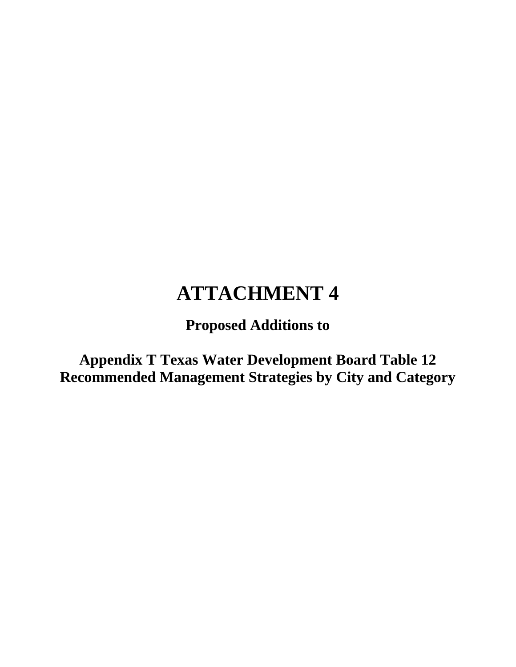**Proposed Additions to**

**Appendix T Texas Water Development Board Table 12 Recommended Management Strategies by City and Category**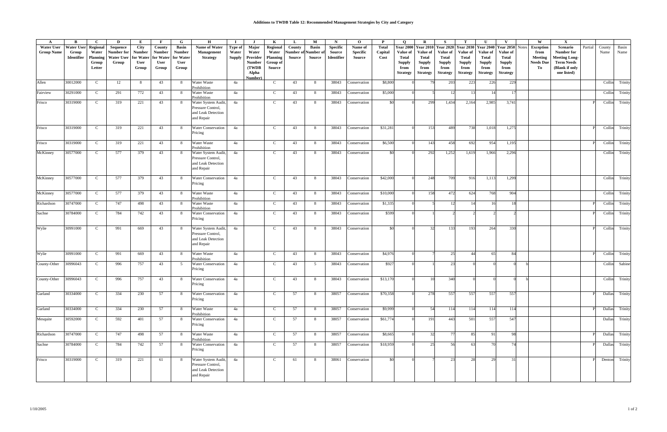| A                                      | B                                        | C                                                       | D                                                         | E                                             | $\mathbf{F}$                                          | G                                                    | н                                                                            |                                   |                                                         | K                                                          | L                                      | М                             | $\mathbf N$                             | $\mathbf{o}$                         | $\mathbf{P}$                    | $\Omega$                                                      | R                                                                                                  | -S                                                     | т                                                                                    | U                                                             | $\mathbf{v}$                                                                                       | W                                                                             | $\mathbf{X}$                                                                                         |         |                |                |
|----------------------------------------|------------------------------------------|---------------------------------------------------------|-----------------------------------------------------------|-----------------------------------------------|-------------------------------------------------------|------------------------------------------------------|------------------------------------------------------------------------------|-----------------------------------|---------------------------------------------------------|------------------------------------------------------------|----------------------------------------|-------------------------------|-----------------------------------------|--------------------------------------|---------------------------------|---------------------------------------------------------------|----------------------------------------------------------------------------------------------------|--------------------------------------------------------|--------------------------------------------------------------------------------------|---------------------------------------------------------------|----------------------------------------------------------------------------------------------------|-------------------------------------------------------------------------------|------------------------------------------------------------------------------------------------------|---------|----------------|----------------|
| <b>Water User</b><br><b>Group Name</b> | <b>Water User</b><br>Group<br>Identifier | Regional<br>Water<br><b>Planning</b><br>Group<br>Letter | Sequence<br>Number for<br>Water User   for Water<br>Group | City<br><b>Number</b><br><b>User</b><br>Group | County<br><b>Number</b><br>for Water<br>User<br>Group | <b>Basin</b><br>Number<br>for Water<br>User<br>Group | Name of Water<br>Management<br><b>Strategy</b>                               | Type of<br>Water<br><b>Supply</b> | Major<br>Water<br>Provider<br>Number<br>(TWDB)<br>Alpha | Regional<br>Water<br><b>Planning</b><br>Group of<br>Source | County<br>Number of Number o<br>Source | <b>Basin</b><br><b>Source</b> | <b>Specific</b><br>Source<br>Identifier | Name of<br><b>Specific</b><br>Source | <b>Total</b><br>Capital<br>Cost | Value of<br>Total<br><b>Supply</b><br>from<br><b>Strategy</b> | <b>Year 2000 Year 2010</b><br>Value of<br><b>Total</b><br><b>Supply</b><br>from<br><b>Strategy</b> | Value of<br>Total<br>Supply<br>from<br><b>Strategy</b> | Year 2020 Year 2030<br>Value of<br>Total<br><b>Supply</b><br>from<br><b>Strategy</b> | Value of<br>Total<br><b>Supply</b><br>from<br><b>Strategy</b> | <b>Year 2040 Year 2050</b><br>Value of<br><b>Total</b><br><b>Supply</b><br>from<br><b>Strategy</b> | Notes<br><b>Exception</b><br>from<br><b>Meeting</b><br><b>Needs Due</b><br>То | Scenario<br>Number for<br><b>Meeting Long-</b><br><b>Term Needs</b><br>(Blank if only<br>one listed) | Partial | County<br>Name | Basin<br>Name  |
| Allen                                  | 30012000                                 | $\mathbf C$                                             | 12                                                        | 8                                             | 43                                                    | 8                                                    | Water Waste                                                                  | 4a                                | Number)                                                 | $\mathbf C$                                                | 43                                     | 8                             | 38043                                   | Conservation                         | \$8,800                         |                                                               |                                                                                                    | 203                                                    | 223                                                                                  | 226                                                           | 229                                                                                                |                                                                               |                                                                                                      |         | Collin         | Trinity        |
| Fairview                               | 30291000                                 | $\mathbf C$                                             | 291                                                       | 772                                           | 43                                                    | 8 <sup>8</sup>                                       | Prohibition<br>Water Waste<br>Prohibition                                    | 4a                                |                                                         | $\mathbf{C}$                                               | 43                                     | 8                             | 38043                                   | <b>Conservation</b>                  | \$5,000                         |                                                               |                                                                                                    | 12                                                     | 13                                                                                   | 14                                                            | 17                                                                                                 |                                                                               |                                                                                                      |         | Collin         | Trinity        |
| Frisco                                 | 30319000                                 | $\mathbf{C}$                                            | 319                                                       | 221                                           | 43                                                    | - 8                                                  | Water System Audit,<br>Pressure Control.<br>and Leak Detection<br>and Repair | 4a                                |                                                         | $\mathsf{C}$                                               | 43                                     | 8                             | 38043                                   | Conservation                         | <b>SO</b>                       |                                                               | 299                                                                                                | 1,434                                                  | 2,164                                                                                | 2,985                                                         | 3,741                                                                                              |                                                                               |                                                                                                      |         |                | Collin Trinity |
| Frisco                                 | 30319000                                 | C                                                       | 319                                                       | 221                                           | 43                                                    | - 8                                                  | <b>Water Conservation</b><br>Pricing                                         | 4a                                |                                                         | $\mathbf{C}$                                               | 43                                     | 8                             | 38043                                   | Conservation                         | \$31,281                        |                                                               | 153                                                                                                | 489                                                    | 738                                                                                  | 1,018                                                         | 1,275                                                                                              |                                                                               |                                                                                                      |         |                | Collin Trinity |
| Frisco                                 | 30319000                                 | $\mathbf C$                                             | 319                                                       | 221                                           | 43                                                    | 8                                                    | Water Waste<br>Prohibition                                                   | 4a                                |                                                         | $\mathbf{C}$                                               | 43                                     | 8                             | 38043                                   | Conservation                         | \$6,500                         |                                                               | 143                                                                                                | 458                                                    | 692                                                                                  | 954                                                           | 1,195                                                                                              |                                                                               |                                                                                                      |         | Collin         | Trinity        |
| McKinney                               | 30577000                                 | $\mathbf C$                                             | 577                                                       | 379                                           | 43                                                    | 8                                                    | Water System Audit,<br>Pressure Control.<br>and Leak Detection<br>and Repair | 4a                                |                                                         | $\mathbf C$                                                | 43                                     | 8                             | 38043                                   | Conservation                         | \$0                             |                                                               | 292                                                                                                | 1,252                                                  | 1,619                                                                                | 1,966                                                         | 2,296                                                                                              |                                                                               |                                                                                                      |         | Collin         | Trinity        |
| McKinney                               | 30577000                                 | $\mathbf C$                                             | 577                                                       | 379                                           | 43                                                    | - 8                                                  | Water Conservation<br>Pricing                                                | 4a                                |                                                         | $\mathbf{C}$                                               | 43                                     | 8                             | 38043                                   | Conservation                         | \$42,000                        |                                                               | 248                                                                                                | 709                                                    | 916                                                                                  | 1,113                                                         | 1,299                                                                                              |                                                                               |                                                                                                      |         |                | Collin Trinity |
| McKinney                               | 30577000                                 | $\mathbf{C}$                                            | 577                                                       | 379                                           | 43                                                    | 8                                                    | Water Waste<br>Prohibition                                                   | 4a                                |                                                         | $\mathbf C$                                                | 43                                     | 8                             | 38043                                   | Conservation                         | \$10,000                        |                                                               | 158                                                                                                | 472                                                    | 624                                                                                  | 768                                                           | 904                                                                                                |                                                                               |                                                                                                      |         |                | Collin Trinity |
| Richardson                             | 30747000                                 | $\mathbf{C}$                                            | 747                                                       | 498                                           | 43                                                    | 8                                                    | Water Waste<br>Prohibition                                                   | 4a                                |                                                         | $\mathbf{C}$                                               | 43                                     | 8                             | 38043                                   | Conservation                         | \$1,335                         |                                                               |                                                                                                    | 12                                                     | 14                                                                                   | 16                                                            | 18                                                                                                 |                                                                               |                                                                                                      |         | Collin         | Trinity        |
| Sachse                                 | 30784000                                 | $\mathbf{C}$                                            | 784                                                       | 742                                           | 43                                                    | 8 <sup>8</sup>                                       | <b>Water Conservation</b><br>Pricing                                         | 4a                                |                                                         | $\mathbf{C}$                                               | 43                                     | 8                             | 38043                                   | Conservation                         | \$599                           |                                                               |                                                                                                    |                                                        |                                                                                      |                                                               |                                                                                                    |                                                                               |                                                                                                      |         | Collin         | Trinity        |
| Wylie                                  | 30991000                                 | $\mathbf{C}$                                            | 991                                                       | 669                                           | 43                                                    | - 8                                                  | Water System Audit,<br>Pressure Control.<br>and Leak Detection<br>and Repair | 4a                                |                                                         | $\mathbf{C}$                                               | 43                                     | 8                             | 38043                                   | Conservation                         | \$0                             |                                                               | 32                                                                                                 | 133                                                    | 193                                                                                  | 264                                                           | 330                                                                                                |                                                                               |                                                                                                      |         |                | Collin Trinity |
| Wylie                                  | 30991000                                 | $\mathbf C$                                             | 991                                                       | 669                                           | 43                                                    | 8                                                    | Water Waste<br>Prohibition                                                   | 4a                                |                                                         | $\mathbf C$                                                | 43                                     | 8                             | 38043                                   | Conservation                         | \$4,976                         |                                                               |                                                                                                    | 25                                                     | 44                                                                                   | 65                                                            | 84                                                                                                 |                                                                               |                                                                                                      |         |                | Collin Trinity |
| County-Other                           | 30996043                                 | $\mathbf C$                                             | 996                                                       | 757                                           | 43                                                    | 5                                                    | Water Conservation<br>Pricing                                                | 4a                                |                                                         | $\mathbf{C}$                                               | 43                                     | 5                             | 38043                                   | Conservation                         | \$927                           |                                                               |                                                                                                    | 23                                                     |                                                                                      |                                                               |                                                                                                    |                                                                               |                                                                                                      |         | Collin         | Sabine         |
| County-Other                           | 30996043                                 | $\mathbf{C}$                                            | 996                                                       | 757                                           | 43                                                    | 8                                                    | <b>Water Conservation</b><br>Pricing                                         | 4a                                |                                                         | $\mathsf{C}$                                               | 43                                     | 8                             | 38043                                   | Conservation                         | \$13,170                        |                                                               | 10                                                                                                 | 340                                                    |                                                                                      |                                                               |                                                                                                    |                                                                               |                                                                                                      |         |                | Collin Trinity |
| Garland                                | 30334000                                 | C                                                       | 334                                                       | 230                                           | 57                                                    | - 8                                                  | <b>Water Conservation</b><br>Pricing                                         | 4a                                |                                                         | $\mathbf{C}$                                               | 57                                     | 8                             | 38057                                   | Conservation                         | \$70,358                        |                                                               | 278                                                                                                | 557                                                    | 557                                                                                  | 557                                                           | 557                                                                                                |                                                                               |                                                                                                      |         |                | Dallas Trinity |
| Garland                                | 30334000                                 | $\mathbf{C}$                                            | 334                                                       | 230                                           | 57                                                    | 8                                                    | Water Waste<br>Prohibition                                                   | 4a                                |                                                         | $\mathbf{C}$                                               | 57                                     | 8                             | 38057                                   | Conservation                         | \$9,999                         |                                                               | 54                                                                                                 | 114                                                    | 114                                                                                  | 114                                                           | 114                                                                                                |                                                                               |                                                                                                      |         |                | Dallas Trinity |
| Mesquite                               | 30592000                                 | C.                                                      | 592                                                       | 401                                           | 57                                                    | - 8                                                  | Water Conservation<br>Pricing                                                | 4a                                |                                                         | $\mathbf C$                                                | 57                                     | 8                             | 38057                                   | Conservation                         | \$61,774                        |                                                               | 191                                                                                                | 443                                                    | 501                                                                                  | 557                                                           | 547                                                                                                |                                                                               |                                                                                                      |         |                | Dallas Trinity |
| Richardson                             | 30747000                                 | $\mathbf{C}$                                            | 747                                                       | 498                                           | 57                                                    | 8 <sup>8</sup>                                       | Water Waste<br>Prohibition                                                   | 4a                                |                                                         | $\mathbf{C}$                                               | 57                                     | 8                             | 38057                                   | Conservation                         | \$8,665                         |                                                               | 32                                                                                                 | 77                                                     | 85                                                                                   | 91                                                            | 98                                                                                                 |                                                                               |                                                                                                      |         |                | Dallas Trinity |
| Sachse                                 | 30784000                                 | $\mathbf C$                                             | 784                                                       | 742                                           | 57                                                    | - 8                                                  | <b>Water Conservation</b><br>Pricing                                         | 4a                                |                                                         | $\mathbf{C}$                                               | 57                                     | 8                             | 38057                                   | Conservation                         | \$18,959                        |                                                               | 25                                                                                                 | 56                                                     | 63                                                                                   | 70                                                            | 74                                                                                                 |                                                                               |                                                                                                      |         |                | Dallas Trinity |
| Frisco                                 | 30319000                                 | C.                                                      | 319                                                       | 221                                           | 61                                                    | - 8                                                  | Water System Audit,<br>Pressure Control,<br>and Leak Detection<br>and Repair | 4a                                |                                                         | $\mathbf{C}$                                               | 61                                     | 8                             | 38061                                   | Conservation                         | \$0                             |                                                               |                                                                                                    | 23                                                     | 28                                                                                   | 29                                                            | 31                                                                                                 |                                                                               |                                                                                                      |         |                | Denton Trinity |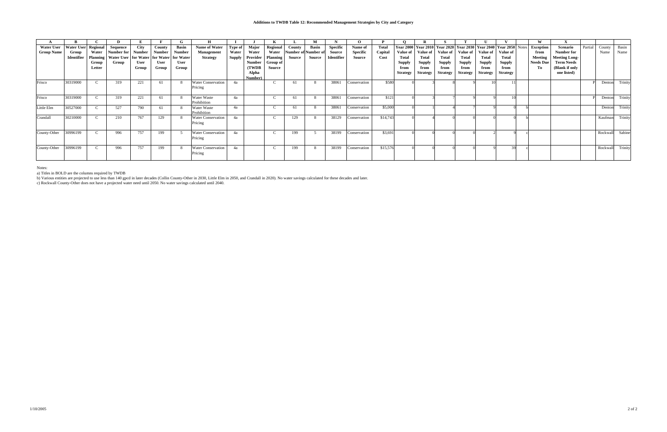|                   |                     |                 | D                                              |             |             | G             | H                                    |         |                  |                 |                            | м            |                 | $\Omega$     |              |                 |                                                                               |                 |                     |                 |                 | W                |                      |         |          |         |
|-------------------|---------------------|-----------------|------------------------------------------------|-------------|-------------|---------------|--------------------------------------|---------|------------------|-----------------|----------------------------|--------------|-----------------|--------------|--------------|-----------------|-------------------------------------------------------------------------------|-----------------|---------------------|-----------------|-----------------|------------------|----------------------|---------|----------|---------|
| <b>Water User</b> | Water User Regional |                 | Sequence                                       | <b>City</b> | County      | <b>Basin</b>  | Name of Water                        | Type of | Major            | Regional        | County                     | <b>Basin</b> | <b>Specific</b> | Name of      | <b>Total</b> |                 | Year 2000   Year 2010   Year 2020   Year 2030   Year 2040   Year 2050   Notes |                 |                     |                 |                 | <b>Exception</b> | Scenario             | Partial | County   | Basin   |
| <b>Group Name</b> | Group               | Water           | Number for                                     | Number      | Number      | <b>Number</b> | Management                           | Water   | Water            | Water           | <b>Number of Number of</b> |              | Source          | Specific     | Capital      | Value of        | Value of                                                                      |                 | Value of   Value of | <b>Value of</b> | Value of        | from             | Number for           |         | Name     | Name    |
|                   | Identifier          | <b>Planning</b> | Water User   for Water   for Water   for Water |             |             |               | <b>Strategy</b>                      | Supply  | Provider         | Planning        | Source                     | Source       | Identifier      | Source       | Cost         | <b>Total</b>    | <b>Total</b>                                                                  | Total           | Total               | Total           | Total           | Meeting          | <b>Meeting Long-</b> |         |          |         |
|                   |                     | Group           | Group                                          | <b>User</b> | <b>User</b> | User          |                                      |         | Number           | <b>Group of</b> |                            |              |                 |              |              | <b>Supply</b>   | <b>Supply</b>                                                                 | <b>Supply</b>   | Supply              | <b>Supply</b>   | <b>Supply</b>   | <b>Needs Due</b> | <b>Term Needs</b>    |         |          |         |
|                   |                     | Letter          |                                                | Group       | Group       | Group         |                                      |         | (TWDB)           | Source          |                            |              |                 |              |              | from            | from                                                                          | from            | from                | from            | from            | To               | (Blank if only       |         |          |         |
|                   |                     |                 |                                                |             |             |               |                                      |         | Alpha<br>Number) |                 |                            |              |                 |              |              | <b>Strategy</b> | <b>Strategy</b>                                                               | <b>Strategy</b> | <b>Strategy</b>     | <b>Strategy</b> | <b>Strategy</b> |                  | one listed)          |         |          |         |
| Frisco            | 30319000            |                 | 319                                            | 221         | 61          | -8            | <b>Water Conservation</b><br>Pricing | 4a      |                  |                 | 61                         |              | 38061           | Conservation | \$580        |                 |                                                                               |                 |                     |                 |                 |                  |                      |         | Dentor   | Trinity |
| Frisco            | 30319000            |                 | 319                                            | 221         | 61          | -8            | Water Waste<br>Prohibition           | 4a      |                  |                 |                            |              | 38061           | Conservation | \$121        |                 |                                                                               |                 |                     |                 |                 |                  |                      |         | Denton   | Trinity |
| Little Elm        | 30527000            |                 | 527                                            | 790         | 61          | -8            | Water Waste<br>Prohibition           | 4a      |                  |                 |                            |              | 38061           | Conservation | \$5,000      |                 |                                                                               |                 |                     |                 |                 |                  |                      |         | Dentor   | Trinity |
| Crandall          | 30210000            |                 | 210                                            | 767         | 129         |               | <b>Water Conservation</b><br>Pricing | 4a      |                  |                 | 129                        |              | 38129           | Conservation | \$14,743     |                 |                                                                               |                 |                     |                 |                 |                  |                      |         | Kaufman  | Trinity |
| County-Other      | 30996199            |                 | 996                                            | 757         | 199         |               | <b>Water Conservation</b><br>Pricing | 4a      |                  |                 | 199                        |              | 38199           | Conservation | \$3,691      |                 |                                                                               |                 |                     |                 |                 |                  |                      |         | Rockwall | Sabine  |
| County-Other      | 30996199            |                 | 996                                            | 757         | 199         | -8            | <b>Water Conservation</b><br>Pricing | 4a      |                  |                 | 199                        |              | 38199           | Conservation | \$15,576     |                 |                                                                               |                 |                     |                 | 30              |                  |                      |         | Rockwall | Trinity |

Notes:

a) Titles in BOLD are the columns required by TWDB

b) Various entities are projected to use less than 140 gpcd in later decades (Collin County-Other in 2030, Little Elm in 2050, and Crandall in 2020). No water savings calculated for these decades and later.

c) Rockwall County-Other does not have a projected water need until 2050. No water savings calculated until 2040.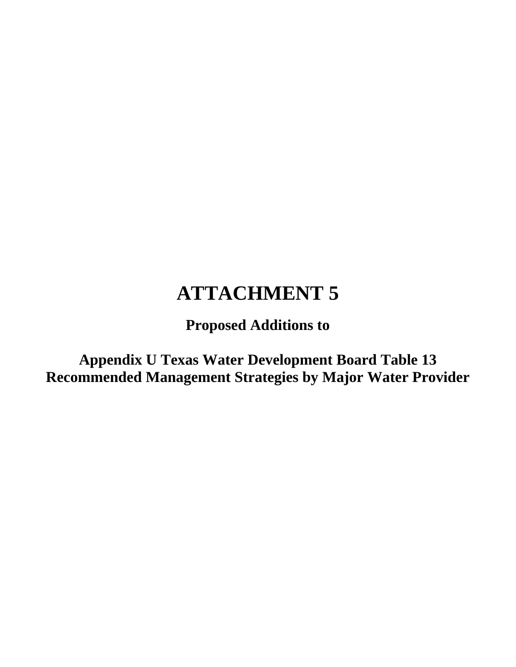**Proposed Additions to**

**Appendix U Texas Water Development Board Table 13 Recommended Management Strategies by Major Water Provider**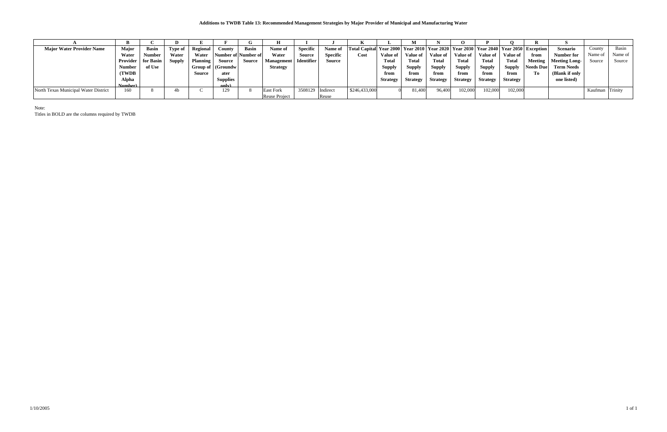|                                      |                             |               |               |                 |                 | lт                  | н                 |                   |                 |                                                                                                  |                 |                    |                 |                 |                 |                 |                  |                      |                 |         |
|--------------------------------------|-----------------------------|---------------|---------------|-----------------|-----------------|---------------------|-------------------|-------------------|-----------------|--------------------------------------------------------------------------------------------------|-----------------|--------------------|-----------------|-----------------|-----------------|-----------------|------------------|----------------------|-----------------|---------|
| <b>Major Water Provider Name</b>     | <b>Major</b>                | <b>Basin</b>  | Type of       | Regional        | Countv          | Basin               | Name of           | <b>Specific</b>   | Name of         | Total Capital  Year 2000   Year 2010   Year 2020   Year 2030   Year 2040   Year 2050   Exception |                 |                    |                 |                 |                 |                 |                  | <b>Scenario</b>      | County          | Basin   |
|                                      | Water                       | <b>Number</b> | Water         | Water           |                 | Number of Number of | Water             | Source            | <b>Specific</b> | Cost                                                                                             | Value of        | ′alue of ∣         | Value of        | <b>Value of</b> | <b>Value of</b> | Value of        | from             | Number for           | Name of         | Name of |
|                                      | <b>Provider</b>   for Basin |               | <b>Supply</b> | <b>Planning</b> | Source          | Source              | <b>Management</b> | <b>Identifier</b> | Source          |                                                                                                  | <b>Total</b>    | <b>Total</b>       | <b>Total</b>    | <b>Total</b>    | Total           | Total           | Meeting          | <b>Meeting Long-</b> | Source          | Source  |
|                                      | Number -                    | of Use        |               | Group of        | (Groundw        |                     | <b>Strategy</b>   |                   |                 |                                                                                                  | <b>Supply</b>   | Suppl <sub>3</sub> | <b>Supply</b>   | <b>Supply</b>   | <b>Supply</b>   | <b>Supply</b>   | <b>Needs</b> Due | <b>Term Needs</b>    |                 |         |
|                                      | (TWDB                       |               |               | Source          | ater            |                     |                   |                   |                 |                                                                                                  | from            | from               | from            | from            | from            | from            | To               | (Blank if only       |                 |         |
|                                      | Alpha                       |               |               |                 | <b>Supplies</b> |                     |                   |                   |                 |                                                                                                  | <b>Strategy</b> | Strategy           | <b>Strategy</b> | <b>Strategy</b> | <b>Strategy</b> | <b>Strategy</b> |                  | one listed)          |                 |         |
|                                      | Number)                     |               |               |                 | only)           |                     |                   |                   |                 |                                                                                                  |                 |                    |                 |                 |                 |                 |                  |                      |                 |         |
| North Texas Municipal Water District | 160                         |               |               |                 | 129             |                     | <b>East Fork</b>  | 3508129 Indirect  |                 | \$246,433,000                                                                                    |                 | 81,400             | 96,400          | 102,000         | 02,000          | 102,000         |                  |                      | Kaufman Trinity |         |
|                                      |                             |               |               |                 |                 |                     | Reuse Project     |                   | Reuse           |                                                                                                  |                 |                    |                 |                 |                 |                 |                  |                      |                 |         |

Note:

Titles in BOLD are the columns required by TWDB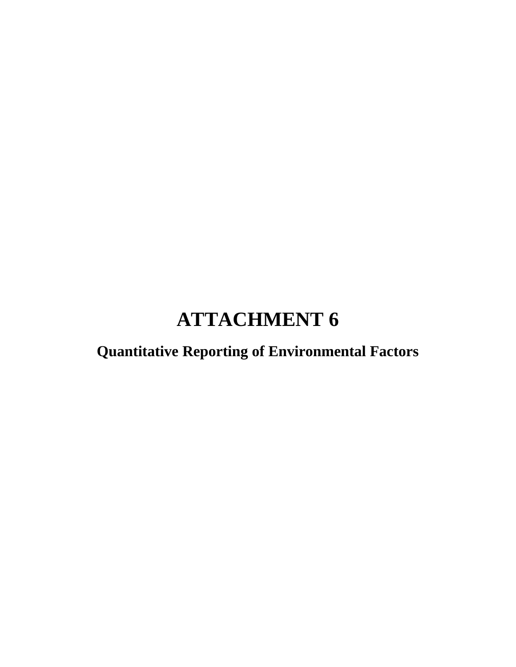**Quantitative Reporting of Environmental Factors**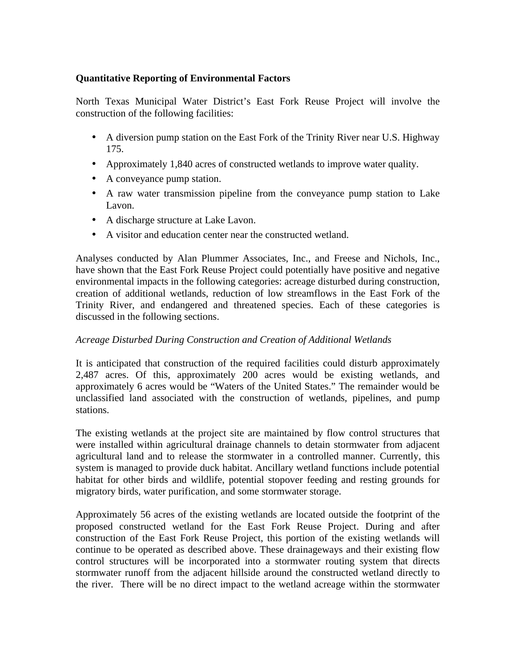# **Quantitative Reporting of Environmental Factors**

North Texas Municipal Water District's East Fork Reuse Project will involve the construction of the following facilities:

- A diversion pump station on the East Fork of the Trinity River near U.S. Highway 175.
- Approximately 1,840 acres of constructed wetlands to improve water quality.
- A conveyance pump station.
- A raw water transmission pipeline from the conveyance pump station to Lake Lavon.
- A discharge structure at Lake Lavon.
- A visitor and education center near the constructed wetland.

Analyses conducted by Alan Plummer Associates, Inc., and Freese and Nichols, Inc., have shown that the East Fork Reuse Project could potentially have positive and negative environmental impacts in the following categories: acreage disturbed during construction, creation of additional wetlands, reduction of low streamflows in the East Fork of the Trinity River, and endangered and threatened species. Each of these categories is discussed in the following sections.

# *Acreage Disturbed During Construction and Creation of Additional Wetlands*

It is anticipated that construction of the required facilities could disturb approximately 2,487 acres. Of this, approximately 200 acres would be existing wetlands, and approximately 6 acres would be "Waters of the United States." The remainder would be unclassified land associated with the construction of wetlands, pipelines, and pump stations.

The existing wetlands at the project site are maintained by flow control structures that were installed within agricultural drainage channels to detain stormwater from adjacent agricultural land and to release the stormwater in a controlled manner. Currently, this system is managed to provide duck habitat. Ancillary wetland functions include potential habitat for other birds and wildlife, potential stopover feeding and resting grounds for migratory birds, water purification, and some stormwater storage.

Approximately 56 acres of the existing wetlands are located outside the footprint of the proposed constructed wetland for the East Fork Reuse Project. During and after construction of the East Fork Reuse Project, this portion of the existing wetlands will continue to be operated as described above. These drainageways and their existing flow control structures will be incorporated into a stormwater routing system that directs stormwater runoff from the adjacent hillside around the constructed wetland directly to the river. There will be no direct impact to the wetland acreage within the stormwater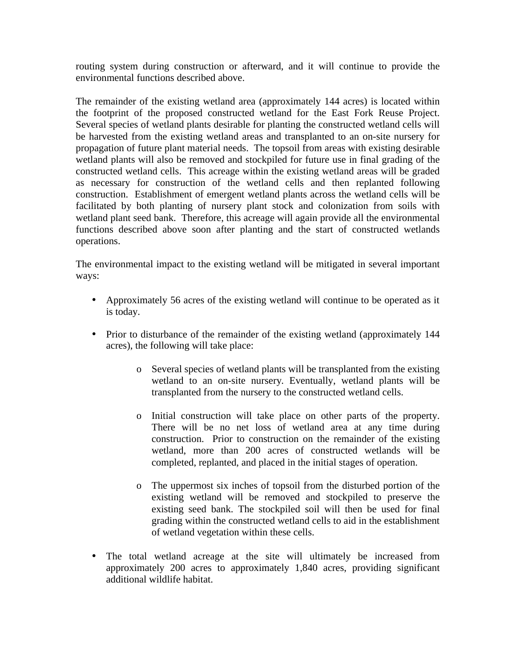routing system during construction or afterward, and it will continue to provide the environmental functions described above.

The remainder of the existing wetland area (approximately 144 acres) is located within the footprint of the proposed constructed wetland for the East Fork Reuse Project. Several species of wetland plants desirable for planting the constructed wetland cells will be harvested from the existing wetland areas and transplanted to an on-site nursery for propagation of future plant material needs. The topsoil from areas with existing desirable wetland plants will also be removed and stockpiled for future use in final grading of the constructed wetland cells. This acreage within the existing wetland areas will be graded as necessary for construction of the wetland cells and then replanted following construction. Establishment of emergent wetland plants across the wetland cells will be facilitated by both planting of nursery plant stock and colonization from soils with wetland plant seed bank. Therefore, this acreage will again provide all the environmental functions described above soon after planting and the start of constructed wetlands operations.

The environmental impact to the existing wetland will be mitigated in several important ways:

- Approximately 56 acres of the existing wetland will continue to be operated as it is today.
- Prior to disturbance of the remainder of the existing wetland (approximately 144 acres), the following will take place:
	- o Several species of wetland plants will be transplanted from the existing wetland to an on-site nursery. Eventually, wetland plants will be transplanted from the nursery to the constructed wetland cells.
	- o Initial construction will take place on other parts of the property. There will be no net loss of wetland area at any time during construction. Prior to construction on the remainder of the existing wetland, more than 200 acres of constructed wetlands will be completed, replanted, and placed in the initial stages of operation.
	- o The uppermost six inches of topsoil from the disturbed portion of the existing wetland will be removed and stockpiled to preserve the existing seed bank. The stockpiled soil will then be used for final grading within the constructed wetland cells to aid in the establishment of wetland vegetation within these cells.
- The total wetland acreage at the site will ultimately be increased from approximately 200 acres to approximately 1,840 acres, providing significant additional wildlife habitat.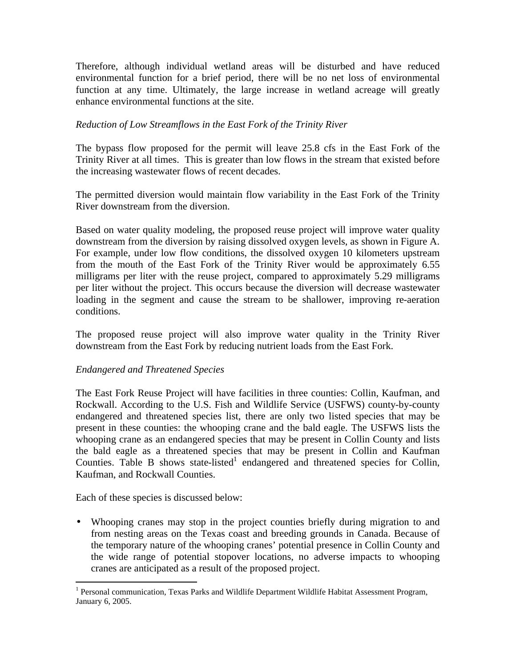Therefore, although individual wetland areas will be disturbed and have reduced environmental function for a brief period, there will be no net loss of environmental function at any time. Ultimately, the large increase in wetland acreage will greatly enhance environmental functions at the site.

# *Reduction of Low Streamflows in the East Fork of the Trinity River*

The bypass flow proposed for the permit will leave 25.8 cfs in the East Fork of the Trinity River at all times. This is greater than low flows in the stream that existed before the increasing wastewater flows of recent decades.

The permitted diversion would maintain flow variability in the East Fork of the Trinity River downstream from the diversion.

Based on water quality modeling, the proposed reuse project will improve water quality downstream from the diversion by raising dissolved oxygen levels, as shown in Figure A. For example, under low flow conditions, the dissolved oxygen 10 kilometers upstream from the mouth of the East Fork of the Trinity River would be approximately 6.55 milligrams per liter with the reuse project, compared to approximately 5.29 milligrams per liter without the project. This occurs because the diversion will decrease wastewater loading in the segment and cause the stream to be shallower, improving re-aeration conditions.

The proposed reuse project will also improve water quality in the Trinity River downstream from the East Fork by reducing nutrient loads from the East Fork.

## *Endangered and Threatened Species*

The East Fork Reuse Project will have facilities in three counties: Collin, Kaufman, and Rockwall. According to the U.S. Fish and Wildlife Service (USFWS) county-by-county endangered and threatened species list, there are only two listed species that may be present in these counties: the whooping crane and the bald eagle. The USFWS lists the whooping crane as an endangered species that may be present in Collin County and lists the bald eagle as a threatened species that may be present in Collin and Kaufman Counties. Table B shows state-listed<sup>1</sup> endangered and threatened species for Collin, Kaufman, and Rockwall Counties.

Each of these species is discussed below:

• Whooping cranes may stop in the project counties briefly during migration to and from nesting areas on the Texas coast and breeding grounds in Canada. Because of the temporary nature of the whooping cranes' potential presence in Collin County and the wide range of potential stopover locations, no adverse impacts to whooping cranes are anticipated as a result of the proposed project.

<sup>&</sup>lt;sup>1</sup><br><sup>1</sup> Personal communication, Texas Parks and Wildlife Department Wildlife Habitat Assessment Program, January 6, 2005.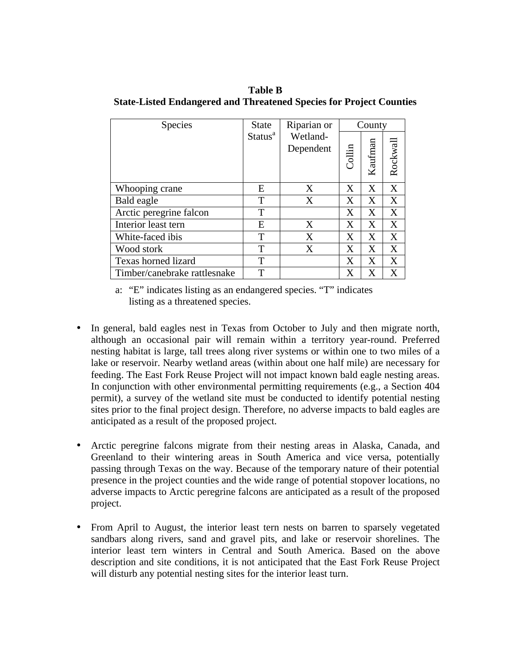**Table B State-Listed Endangered and Threatened Species for Project Counties**

| Species                      | <b>State</b>        | Riparian or           |        | County  |          |
|------------------------------|---------------------|-----------------------|--------|---------|----------|
|                              | Status <sup>a</sup> | Wetland-<br>Dependent | Collin | Kaufman | Rockwall |
| Whooping crane               | E                   | X                     | X      | X       | X        |
| Bald eagle                   | T                   | X                     | X      | X       | X        |
| Arctic peregrine falcon      | T                   |                       | X      | X       | X        |
| Interior least tern          | E                   | X                     | Χ      | X       | X        |
| White-faced ibis             | Т                   | X                     | X      | X       | X        |
| Wood stork                   | T                   | X                     | X      | X       | X        |
| Texas horned lizard          | T                   |                       | X      | X       | X        |
| Timber/canebrake rattlesnake | T                   |                       | X      | X       | X        |

a: "E" indicates listing as an endangered species. "T" indicates listing as a threatened species.

- In general, bald eagles nest in Texas from October to July and then migrate north, although an occasional pair will remain within a territory year-round. Preferred nesting habitat is large, tall trees along river systems or within one to two miles of a lake or reservoir. Nearby wetland areas (within about one half mile) are necessary for feeding. The East Fork Reuse Project will not impact known bald eagle nesting areas. In conjunction with other environmental permitting requirements (e.g., a Section 404 permit), a survey of the wetland site must be conducted to identify potential nesting sites prior to the final project design. Therefore, no adverse impacts to bald eagles are anticipated as a result of the proposed project.
- Arctic peregrine falcons migrate from their nesting areas in Alaska, Canada, and Greenland to their wintering areas in South America and vice versa, potentially passing through Texas on the way. Because of the temporary nature of their potential presence in the project counties and the wide range of potential stopover locations, no adverse impacts to Arctic peregrine falcons are anticipated as a result of the proposed project.
- From April to August, the interior least tern nests on barren to sparsely vegetated sandbars along rivers, sand and gravel pits, and lake or reservoir shorelines. The interior least tern winters in Central and South America. Based on the above description and site conditions, it is not anticipated that the East Fork Reuse Project will disturb any potential nesting sites for the interior least turn.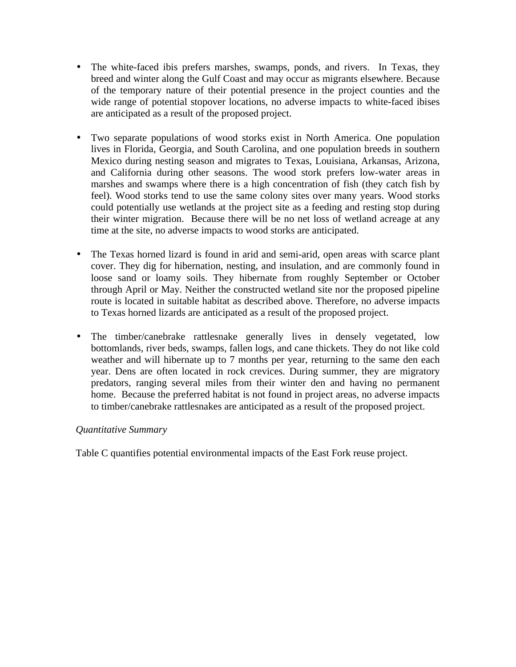- The white-faced ibis prefers marshes, swamps, ponds, and rivers. In Texas, they breed and winter along the Gulf Coast and may occur as migrants elsewhere. Because of the temporary nature of their potential presence in the project counties and the wide range of potential stopover locations, no adverse impacts to white-faced ibises are anticipated as a result of the proposed project.
- Two separate populations of wood storks exist in North America. One population lives in Florida, Georgia, and South Carolina, and one population breeds in southern Mexico during nesting season and migrates to Texas, Louisiana, Arkansas, Arizona, and California during other seasons. The wood stork prefers low-water areas in marshes and swamps where there is a high concentration of fish (they catch fish by feel). Wood storks tend to use the same colony sites over many years. Wood storks could potentially use wetlands at the project site as a feeding and resting stop during their winter migration. Because there will be no net loss of wetland acreage at any time at the site, no adverse impacts to wood storks are anticipated.
- The Texas horned lizard is found in arid and semi-arid, open areas with scarce plant cover. They dig for hibernation, nesting, and insulation, and are commonly found in loose sand or loamy soils. They hibernate from roughly September or October through April or May. Neither the constructed wetland site nor the proposed pipeline route is located in suitable habitat as described above. Therefore, no adverse impacts to Texas horned lizards are anticipated as a result of the proposed project.
- The timber/canebrake rattlesnake generally lives in densely vegetated, low bottomlands, river beds, swamps, fallen logs, and cane thickets. They do not like cold weather and will hibernate up to 7 months per year, returning to the same den each year. Dens are often located in rock crevices. During summer, they are migratory predators, ranging several miles from their winter den and having no permanent home. Because the preferred habitat is not found in project areas, no adverse impacts to timber/canebrake rattlesnakes are anticipated as a result of the proposed project.

## *Quantitative Summary*

Table C quantifies potential environmental impacts of the East Fork reuse project.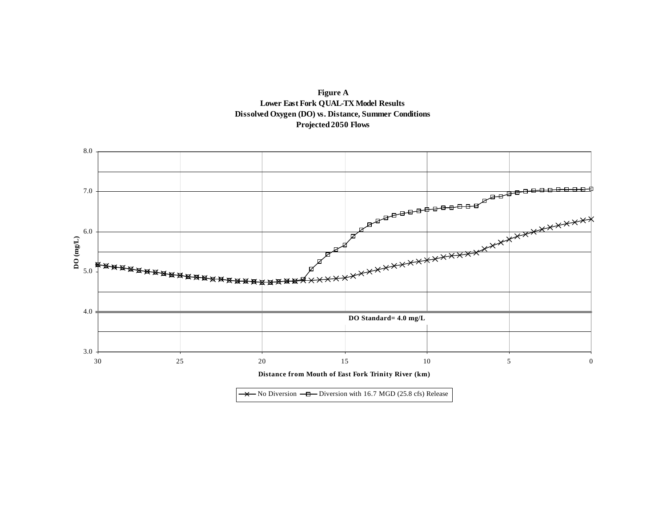



 $\rightarrow$  No Diversion  $-\Box$  Diversion with 16.7 MGD (25.8 cfs) Release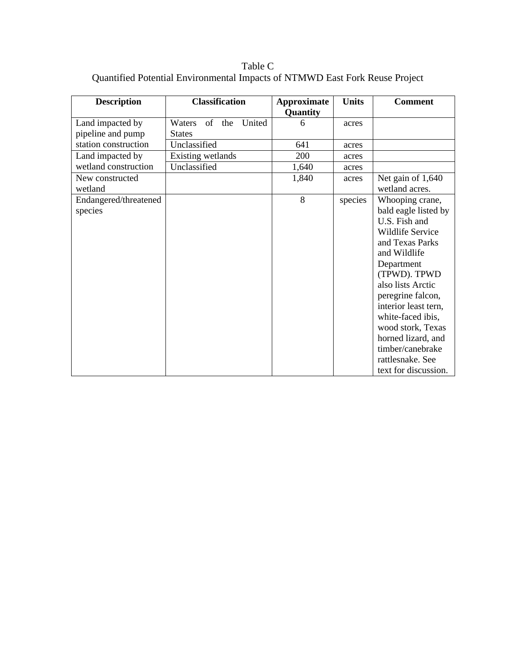Table C Quantified Potential Environmental Impacts of NTMWD East Fork Reuse Project

| <b>Description</b>                    | <b>Classification</b>                       | <b>Approximate</b><br>Quantity | <b>Units</b> | <b>Comment</b>                                                                                                                                                                                                                                                                                                                                  |
|---------------------------------------|---------------------------------------------|--------------------------------|--------------|-------------------------------------------------------------------------------------------------------------------------------------------------------------------------------------------------------------------------------------------------------------------------------------------------------------------------------------------------|
| Land impacted by<br>pipeline and pump | United<br>of the<br>Waters<br><b>States</b> | 6                              | acres        |                                                                                                                                                                                                                                                                                                                                                 |
| station construction                  | Unclassified                                | 641                            | acres        |                                                                                                                                                                                                                                                                                                                                                 |
| Land impacted by                      | Existing wetlands                           | 200                            | acres        |                                                                                                                                                                                                                                                                                                                                                 |
| wetland construction                  | Unclassified                                | 1,640                          | acres        |                                                                                                                                                                                                                                                                                                                                                 |
| New constructed<br>wetland            |                                             | 1,840                          | acres        | Net gain of 1,640<br>wetland acres.                                                                                                                                                                                                                                                                                                             |
| Endangered/threatened<br>species      |                                             | 8                              | species      | Whooping crane,<br>bald eagle listed by<br>U.S. Fish and<br>Wildlife Service<br>and Texas Parks<br>and Wildlife<br>Department<br>(TPWD). TPWD<br>also lists Arctic<br>peregrine falcon,<br>interior least tern,<br>white-faced ibis,<br>wood stork, Texas<br>horned lizard, and<br>timber/canebrake<br>rattlesnake. See<br>text for discussion. |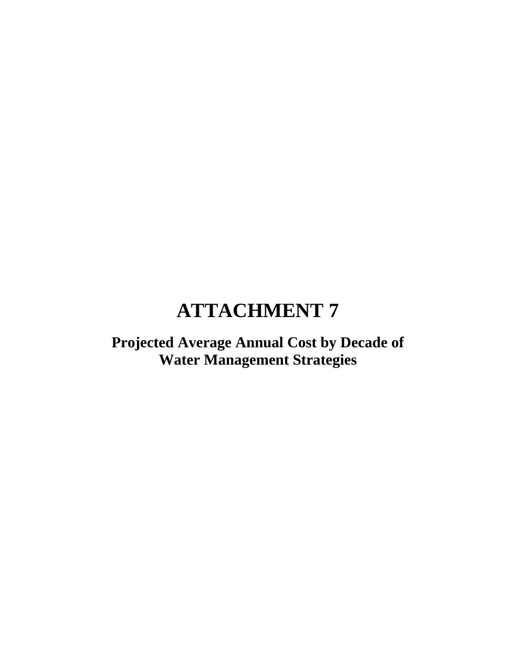# **Projected Average Annual Cost by Decade of Water Management Strategies**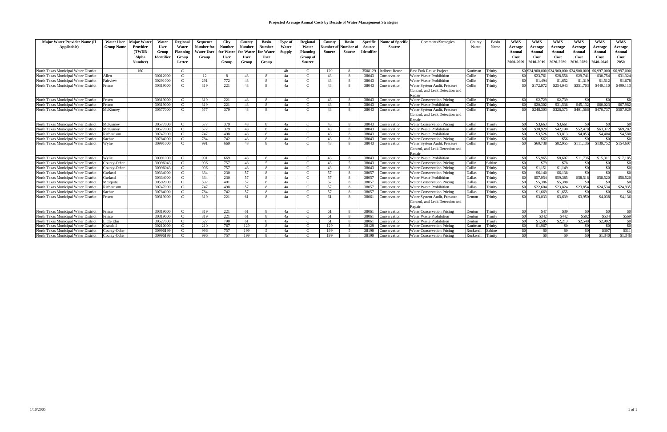| <b>Major Water Provider Name (If</b>                                         | <b>Water User</b>      | <b>Major Water</b> | Water                | <b>Regional</b>                | <b>Sequence</b>   | <b>City</b>   | County        | <b>Basin</b>   | Type of        | Regional                       | County    | <b>Basin</b> | <b>Specific</b> | <b>Name of Specific</b>    | Comments/Strategies                                          | County           | Basin              | <b>WMS</b>      | <b>WMS</b>          | <b>WMS</b>          | <b>WMS</b>                                 | <b>WMS</b>     | <b>WMS</b>            |
|------------------------------------------------------------------------------|------------------------|--------------------|----------------------|--------------------------------|-------------------|---------------|---------------|----------------|----------------|--------------------------------|-----------|--------------|-----------------|----------------------------|--------------------------------------------------------------|------------------|--------------------|-----------------|---------------------|---------------------|--------------------------------------------|----------------|-----------------------|
| Applicable)                                                                  | <b>Group Name</b>      | Provider           | <b>User</b>          | Water                          | <b>Number for</b> | <b>Number</b> | <b>Number</b> | <b>Number</b>  | Water          | Water                          | Number of | Number o     | Source          | Source                     |                                                              | Name             | Name               | Average         | Average             | Average             | Average                                    | Average        | Average               |
|                                                                              |                        | <b>(TWDB</b>       | Group                | Planning                       | <b>Water User</b> | for Water     | for Water     | for Water      | <b>Supply</b>  | Planning                       | Source    | Source       | Identifier      |                            |                                                              |                  |                    | Annual          | <b>Annual</b>       | Annual              | Annual                                     | Annual         | Annual                |
|                                                                              |                        | Alpha              | <b>Identifier</b>    | Group                          | Group             | User          | <b>User</b>   | User           |                | Group of                       |           |              |                 |                            |                                                              |                  |                    | Cost            | Cost                | Cost                | Cost                                       | Cost           | Cost                  |
|                                                                              |                        | Number)            |                      | Letter                         |                   | Group         | Group         | Group          |                | Source                         |           |              |                 |                            |                                                              |                  |                    | 2000-2009       | 2010-201            | 2020-2029           | 2030-2039                                  | 2040-2049      | 2050                  |
| North Texas Municipal Water District                                         |                        | 160                |                      | $\mathcal{C}$                  |                   |               |               |                | 4 <sub>b</sub> | $\mathcal{C}$                  | 129       | -8           | 3508129         | <b>Indirect Reuse</b>      | <b>East Fork Reuse Project</b>                               | Kaufman          | Trinity            |                 |                     |                     | \$0 \$24,900,000 \$24,900,000 \$24,900,000 | \$6,997,000    | \$6,997,000           |
| North Texas Municipal Water District                                         | Allen                  |                    | 30012000             | $\mathcal{C}$                  | 12                |               | 43            | $\mathbf{R}$   | 4a             | $\mathcal{C}$                  | 43        | $\mathbf{R}$ | 38043           | onservation                | Water Waste Prohibition                                      | Collin           | Trinity            |                 | \$23,76             | \$28,558            | \$29,741                                   | \$30.75        | \$31,324              |
| North Texas Municipal Water District                                         | Fairview               |                    | 30291000             | $\Gamma$                       | 291               | 772           | 43            | $\mathbf{R}$   | 4a             | $\mathcal{C}$                  | 43        | $\mathbf{R}$ | 38043           | onservation                | Water Waste Prohibition                                      | Collin           | Trinity            | SO(             | \$1,494             | \$1,652             | \$1,319                                    | \$1,51         | \$1,678               |
| North Texas Municipal Water District                                         | Frisco                 |                    | 30319000             | $\mathcal{C}$                  | 319               | 221           | 43            | 8              | 4a             | $\mathcal{C}$                  | 43        | $\mathbf{R}$ | 38043           | onservation                | Water System Audit, Pressure                                 | Collin           | Trinity            |                 | \$172,972           | \$254,043           | \$351,703                                  | \$449,110      | \$499,113             |
|                                                                              |                        |                    |                      |                                |                   |               |               |                |                |                                |           |              |                 |                            | Control, and Leak Detection and                              |                  |                    |                 |                     |                     |                                            |                |                       |
|                                                                              |                        |                    |                      |                                |                   |               |               |                |                |                                |           |              |                 |                            | Repair                                                       |                  |                    |                 |                     |                     |                                            |                |                       |
| North Texas Municipal Water District                                         | Frisco                 |                    | 30319000             | $\mathcal{C}$                  | 319               | 221           | 43            | -8             | 4a             | $\mathcal{C}$                  | 43        | -8           | 38043           | onservation                | <b>Water Conservation Pricins</b>                            | Collin           | Trinity            | - \$0           | \$2,729             | \$2,739             | \$0                                        | - \$0          | \$0                   |
| North Texas Municipal Water District                                         | Frisco                 |                    | 30319000             |                                | 319               | 221           | 43            | -8             | 4a             | $\mathcal{C}$                  | 43        | -8           | 38043           | onservation                | <b>Water Waste Prohibition</b>                               | Collin           | Trinity            | \$0             | \$20,302            | \$31,538            | \$45.132                                   | \$60.02        | \$67,982              |
| North Texas Municipal Water District                                         | McKinney               |                    | 30577000             | $\mathcal{C}$                  | 577               | 379           | 43            | 8              | 4a             | $\mathcal{C}$                  | 43        | $\mathbf{8}$ | 38043           | onservation                | Water System Audit, Pressure                                 | Collin           | Trinity            |                 | \$248,303           | \$326,575           | \$401,568                                  | \$470,737      | \$507,929             |
|                                                                              |                        |                    |                      |                                |                   |               |               |                |                |                                |           |              |                 |                            | Control, and Leak Detection and                              |                  |                    |                 |                     |                     |                                            |                |                       |
|                                                                              |                        |                    |                      |                                |                   |               |               |                |                |                                |           |              |                 |                            | Repair                                                       |                  |                    |                 |                     |                     |                                            |                |                       |
| North Texas Municipal Water District                                         | McKinney               |                    | 30577000             | $\mathcal{C}$                  | 577               | 379           | 43            | -8             | 4a             | $\mathcal{C}$                  | 43        | -8           | 38043           | onservation                | <b>Water Conservation Pricing</b>                            | Collin           | Trinity            | - \$0           | \$3,663             | \$3,661             | - \$0                                      | - \$0          | $\overline{30}$       |
| North Texas Municipal Water District                                         | McKinney               |                    | 30577000             | $\mathcal{C}$                  | 577               | 379           | 43            | -8             | 4a             | $\mathcal{C}$                  | 43        | -8           | 38043           | onservation                | <b>Water Waste Prohibition</b>                               | Collin           | Trinity            | SO <sub>2</sub> | \$30,929            | \$42,190            | \$52,478                                   | \$63,37        | \$69,282              |
| North Texas Municipal Water District                                         | Richardson             |                    | 30747000             |                                | 747               | 498           | 43            | -8             | 4a             | $\mathcal{C}$                  | 43        | -8           | 38043           | onservation                | Water Waste Prohibition                                      | Collin           | Trinity            | \$0             | \$3,520             | \$3,813             | \$4,053                                    | \$4,404        | \$4,580               |
| North Texas Municipal Water District                                         | Sachse                 |                    | 30784000             | $\mathcal{C}$                  | 784               | 742           | 43            | $\mathbf{8}$   | 4a             | $\mathcal{C}$                  | 43        | -8           | 38043           | onservation                | <b>Water Conservation Pricins</b>                            | Collin           | Trinity            | - \$0           | \$62                | \$56                | -\$0                                       | - \$0          | - \$0                 |
| North Texas Municipal Water District                                         | Wylie                  |                    | 30991000             | $\mathcal{C}$                  | 991               | 669           | 43            | -8             | 4a             | $\mathbf C$                    | 43        | -8           | 38043           | 'onservation               | Water System Audit, Pressure                                 | Collin           | Trinity            | $\infty$        | \$60,738            | \$82,955            | \$111,136                                  | \$139,752      | \$154,607             |
|                                                                              |                        |                    |                      |                                |                   |               |               |                |                |                                |           |              |                 |                            | Control, and Leak Detection and                              |                  |                    |                 |                     |                     |                                            |                |                       |
|                                                                              |                        |                    |                      |                                |                   |               |               |                |                |                                |           |              |                 |                            | Repair                                                       |                  |                    |                 |                     |                     |                                            |                |                       |
| North Texas Municipal Water District                                         | Wylie                  |                    | 30991000             | $\mathcal{C}$                  | 991               | 669           | 43            | -8             | 4a             | $\mathcal{C}$                  | 43        | -8           | 38043           | onservation                | Water Waste Prohibition                                      | Collin           | Trinity            | -\$0            | \$5,965             | \$8,607             | \$11,736                                   | \$15,31        | \$17,185              |
| North Texas Municipal Water District                                         | County-Other           |                    | 30996043             |                                | 996               | 757           | 43            | $\sim$         | 4a             | $\mathbf{C}$                   | 43        | $\sqrt{5}$   | 38043           | onservation                | <b>Water Conservation Pricing</b>                            | Collin           | Sabine             | SO <sub>2</sub> | \$79                | \$78                | \$0                                        |                | \$0                   |
| North Texas Municipal Water District                                         | County-Other           |                    | 30996043             |                                | 996               | 757           | 43            |                | 4a             | $\mathcal{C}$                  | 43        |              | 38043           | onservation                | <b>Water Conservation Pricing</b>                            | Collin           | Trinity            | -\$0            | \$1,15              | \$1,149             | -80<br>$\mathcal{L}$                       |                | $\overline{S}$<br>\$0 |
| North Texas Municipal Water District                                         | Garland                |                    | 30334000             |                                | 334               | 230           | 57            | 8              | 4a             | $\mathcal{C}$                  | 57        | $\mathbf{R}$ | 38057           | onservation                | <b>Water Conservation Pricing</b>                            | Dallas           | Trinity            |                 | \$6,140<br>\$57,954 | \$6,138<br>\$59,385 | \$58,518                                   | \$58,520       | \$58,520              |
| North Texas Municipal Water District                                         | Garland                |                    | 30334000<br>30592000 | $\mathcal{C}$<br>$\mathcal{C}$ | 334               | 230<br>401    | 57<br>57      | -8             | 4a             | $\mathcal{C}$<br>$\mathcal{C}$ | 57<br>57  | -8           | 38057<br>38057  | onservation                | Water Waste Prohibition                                      | Dallas           | Trinity            | -\$0            | \$5,386             | \$5,388             | -\$0                                       | $\mathfrak{C}$ | \$0                   |
| North Texas Municipal Water District<br>North Texas Municipal Water District | Mesquite<br>Richardson |                    | 30747000             |                                | 592<br>747        | 498           | 57            | -8<br>-8       | 4a<br>4a       | $\mathcal{C}$                  | 57        | -8           | 38057           | onservation                | <b>Water Conservation Pricins</b><br>Water Waste Prohibition | Dallas<br>Dallas | Trinity<br>Trinity |                 | \$22,604            | \$23,824            | \$23,854                                   | \$24,534       | \$24,935              |
| North Texas Municipal Water District                                         | Sachse                 |                    | 30784000             |                                | 784               | 742           | 57            | $\mathbf{R}$   | 4a             | $\mathsf{C}$                   | 57        | $\mathbf{R}$ | 38057           | onservation<br>onservation | <b>Water Conservation Pricins</b>                            | Dallas           | Trinity            |                 | \$1,669             | \$1,655             | $\mathbb{C}^n$                             | $\mathcal{L}$  | \$0                   |
| North Texas Municipal Water District                                         | Frisco                 |                    | 30319000             |                                | 319               | 221           | 61            |                | 4a             | $\Gamma$                       | 61        | -8           | 38061           | 'onservation               | Water System Audit, Pressure                                 | Denton           | Trinity            |                 | \$3,033             | \$3,639             | \$3,950                                    | \$4,038        | \$4,136               |
|                                                                              |                        |                    |                      |                                |                   |               |               |                |                |                                |           |              |                 |                            | Control, and Leak Detection and                              |                  |                    |                 |                     |                     |                                            |                |                       |
|                                                                              |                        |                    |                      |                                |                   |               |               |                |                |                                |           |              |                 |                            | Repair                                                       |                  |                    |                 |                     |                     |                                            |                |                       |
| North Texas Municipal Water District                                         | Frisco                 |                    | 30319000             |                                | 319               | 221           | 61            | $\overline{8}$ | 4a             | $\mathcal{C}$                  | 61        | $\mathbf{R}$ | 38061           | onservation                | <b>Water Conservation Pricins</b>                            | Denton           | Trinity            | -\$0            | \$47                | \$39                | -80                                        | $\mathcal{L}$  | - \$0                 |
| North Texas Municipal Water District                                         | Frisco                 |                    | 30319000             | $\mathbf C$                    | 319               | 221           | 61            | -8             | 4a             | $\mathcal{C}$                  | 61        | -8           | 38061           | onservation                | Water Waste Prohibition                                      | Denton           | Trinity            | - \$0           | \$342               | \$442               | \$502                                      | \$534          | \$569                 |
| North Texas Municipal Water District                                         | Little Elm             |                    | 30527000             | $\mathcal{C}$                  | 527               | 790           | 61            | - 8            | 4a             | $\mathbf{C}$                   | 61        | -8           | 38061           | onservation                | Water Waste Prohibition                                      | Denton           | Trinity            | - \$0           | \$1,505             | \$2,213             | \$2,548                                    | \$2,992        | \$0                   |
| North Texas Municipal Water District                                         | randall                |                    | 30210000             |                                | 210               | 767           | 129           | -8             | 4a             | $\mathcal{C}$                  | 129       | $\mathbf{R}$ | 38129           | onservation                | <b>Water Conservation Pricins</b>                            | Kaufman          | Trinity            |                 | \$1,967             | ፍሰ                  | C                                          | - \$0          | $\overline{30}$       |
| North Texas Municipal Water District                                         | County-Other           |                    | 30996199             | $\mathcal{C}$                  | 996               | 757           | 199           | $\sim$         | 4a             | $\mathcal{C}$                  | 199       | $\sim$       | 38199           | onservation                | <b>Water Conservation Pricing</b>                            | Rockwall         | Sabine             | - \$0           | $\Omega$            | \$0                 | -80                                        | \$307          | \$311                 |
| North Texas Municipal Water District                                         | County-Other           |                    | 30996199             |                                | 996               | 757           | 199           | 8              | 4a             |                                | 199       |              | 38199           | 'onservation               | <b>Water Conservation Pricing</b>                            | Rockwall         | Trinity            | \$0             |                     | \$0                 | \$0                                        | \$1,340        | \$1,346               |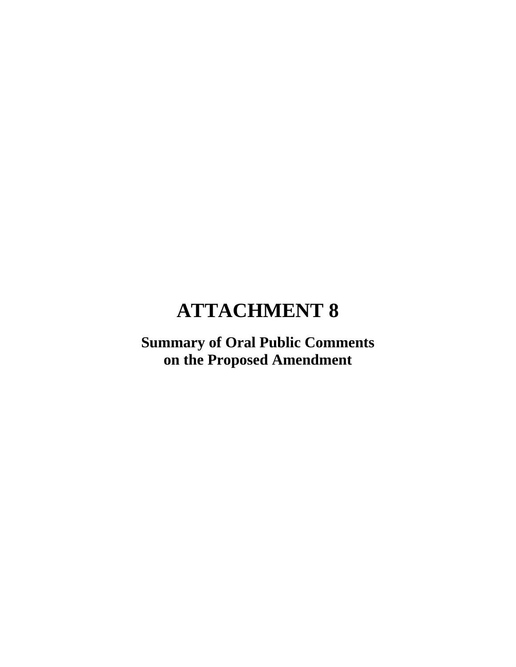# **Summary of Oral Public Comments on the Proposed Amendment**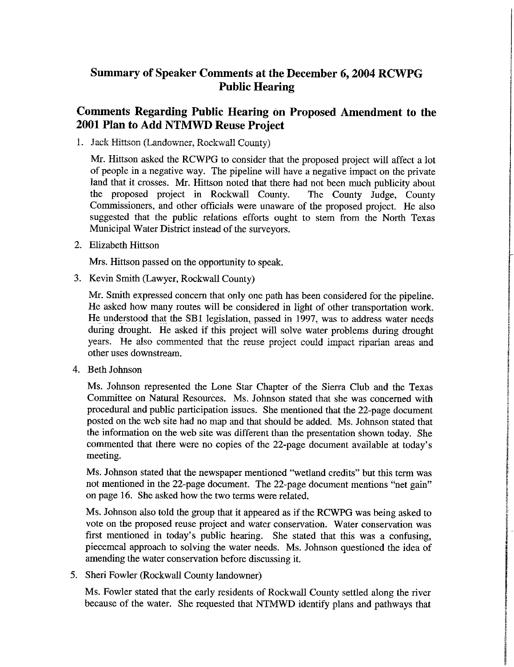# Summary of Speaker Comments at the December 6, 2004 RCWPG **Public Hearing**

# Comments Regarding Public Hearing on Proposed Amendment to the 2001 Plan to Add NTMWD Reuse Project

1. Jack Hittson (Landowner, Rockwall County)

Mr. Hittson asked the RCWPG to consider that the proposed project will affect a lot of people in a negative way. The pipeline will have a negative impact on the private land that it crosses. Mr. Hittson noted that there had not been much publicity about the proposed project in Rockwall County. The County Judge, County Commissioners, and other officials were unaware of the proposed project. He also suggested that the public relations efforts ought to stem from the North Texas Municipal Water District instead of the surveyors.

2. Elizabeth Hittson

Mrs. Hittson passed on the opportunity to speak.

3. Kevin Smith (Lawyer, Rockwall County)

Mr. Smith expressed concern that only one path has been considered for the pipeline. He asked how many routes will be considered in light of other transportation work. He understood that the SB1 legislation, passed in 1997, was to address water needs during drought. He asked if this project will solve water problems during drought years. He also commented that the reuse project could impact riparian areas and other uses downstream.

4. Beth Johnson

Ms. Johnson represented the Lone Star Chapter of the Sierra Club and the Texas Committee on Natural Resources. Ms. Johnson stated that she was concerned with procedural and public participation issues. She mentioned that the 22-page document posted on the web site had no map and that should be added. Ms. Johnson stated that the information on the web site was different than the presentation shown today. She commented that there were no copies of the 22-page document available at today's meeting.

Ms. Johnson stated that the newspaper mentioned "wetland credits" but this term was not mentioned in the 22-page document. The 22-page document mentions "net gain" on page 16. She asked how the two terms were related.

Ms. Johnson also told the group that it appeared as if the RCWPG was being asked to vote on the proposed reuse project and water conservation. Water conservation was first mentioned in today's public hearing. She stated that this was a confusing. piecemeal approach to solving the water needs. Ms. Johnson questioned the idea of amending the water conservation before discussing it.

5. Sheri Fowler (Rockwall County landowner)

Ms. Fowler stated that the early residents of Rockwall County settled along the river because of the water. She requested that NTMWD identify plans and pathways that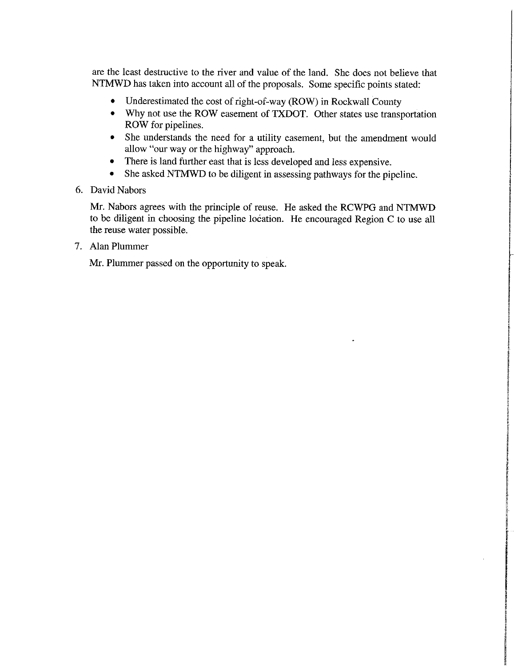are the least destructive to the river and value of the land. She does not believe that NTMWD has taken into account all of the proposals. Some specific points stated:

- Underestimated the cost of right-of-way (ROW) in Rockwall County
- Why not use the ROW easement of TXDOT. Other states use transportation ROW for pipelines.
- She understands the need for a utility easement, but the amendment would allow "our way or the highway" approach.
- $\bullet$ There is land further east that is less developed and less expensive.
- $\bullet$ She asked NTMWD to be diligent in assessing pathways for the pipeline.
- 6. David Nabors

Mr. Nabors agrees with the principle of reuse. He asked the RCWPG and NTMWD to be diligent in choosing the pipeline location. He encouraged Region C to use all the reuse water possible.

7. Alan Plummer

Mr. Plummer passed on the opportunity to speak.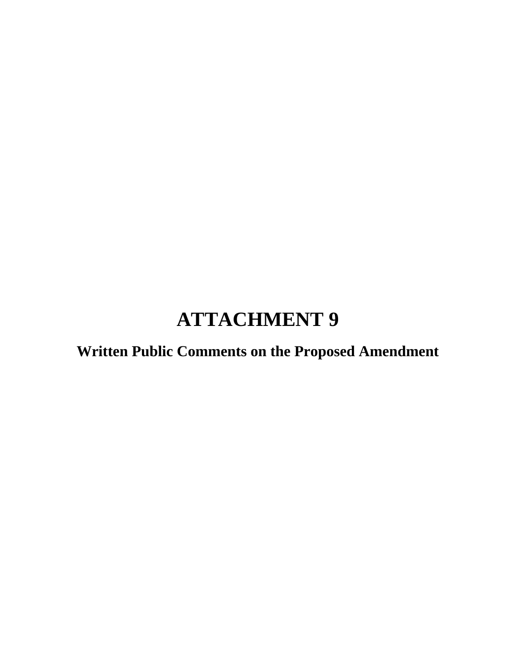**Written Public Comments on the Proposed Amendment**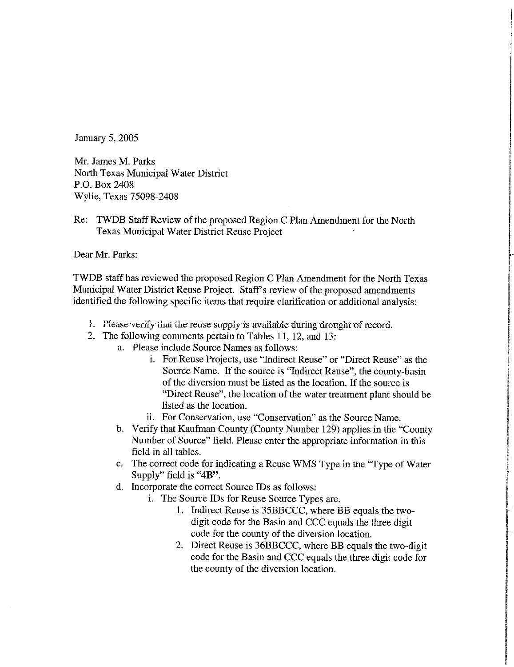January 5, 2005

Mr. James M. Parks North Texas Municipal Water District P.O. Box 2408 Wylie, Texas 75098-2408

Re: TWDB Staff Review of the proposed Region C Plan Amendment for the North Texas Municipal Water District Reuse Project

Dear Mr. Parks:

TWDB staff has reviewed the proposed Region C Plan Amendment for the North Texas Municipal Water District Reuse Project. Staff's review of the proposed amendments identified the following specific items that require clarification or additional analysis:

- 1. Please verify that the reuse supply is available during drought of record.
- 2. The following comments pertain to Tables 11, 12, and 13:
	- a. Please include Source Names as follows:
		- i. For Reuse Projects, use "Indirect Reuse" or "Direct Reuse" as the Source Name. If the source is "Indirect Reuse", the county-basin of the diversion must be listed as the location. If the source is "Direct Reuse", the location of the water treatment plant should be listed as the location.
		- ii. For Conservation, use "Conservation" as the Source Name.
	- b. Verify that Kaufman County (County Number 129) applies in the "County Number of Source" field. Please enter the appropriate information in this field in all tables.
	- c. The correct code for indicating a Reuse WMS Type in the "Type of Water Supply" field is "4B".
	- d. Incorporate the correct Source IDs as follows:
		- i. The Source IDs for Reuse Source Types are.
			- 1. Indirect Reuse is 35BBCCC, where BB equals the twodigit code for the Basin and CCC equals the three digit code for the county of the diversion location.
			- 2. Direct Reuse is 36BBCCC, where BB equals the two-digit code for the Basin and CCC equals the three digit code for the county of the diversion location.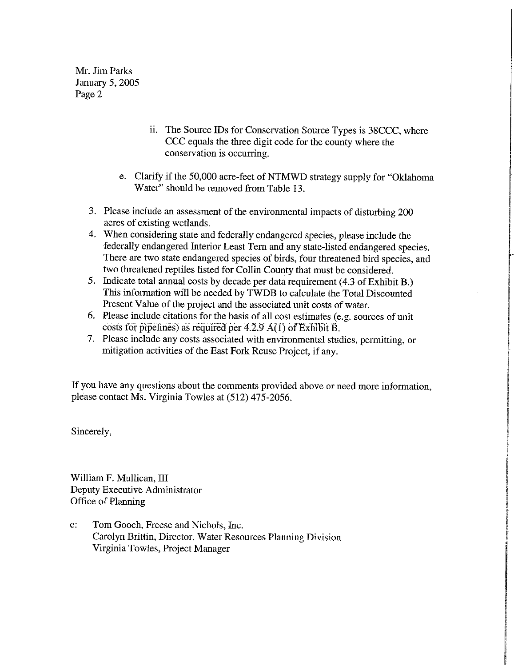Mr. Jim Parks January 5, 2005 Page 2

- ii. The Source IDs for Conservation Source Types is 38CCC, where CCC equals the three digit code for the county where the conservation is occurring.
- e. Clarify if the 50,000 acre-feet of NTMWD strategy supply for "Oklahoma" Water" should be removed from Table 13.
- 3. Please include an assessment of the environmental impacts of disturbing 200 acres of existing wetlands.
- 4. When considering state and federally endangered species, please include the federally endangered Interior Least Tern and any state-listed endangered species. There are two state endangered species of birds, four threatened bird species, and two threatened reptiles listed for Collin County that must be considered.
- 5. Indicate total annual costs by decade per data requirement (4.3 of Exhibit B.) This information will be needed by TWDB to calculate the Total Discounted Present Value of the project and the associated unit costs of water.
- 6. Please include citations for the basis of all cost estimates (e.g. sources of unit costs for pipelines) as required per  $4.2.9 \text{ A}(1)$  of Exhibit B.
- 7. Please include any costs associated with environmental studies, permitting, or mitigation activities of the East Fork Reuse Project, if any.

If you have any questions about the comments provided above or need more information, please contact Ms. Virginia Towles at (512) 475-2056.

Sincerely,

William F. Mullican, III Deputy Executive Administrator Office of Planning

 $\mathbf{c}$ : Tom Gooch, Freese and Nichols, Inc. Carolyn Brittin, Director, Water Resources Planning Division Virginia Towles, Project Manager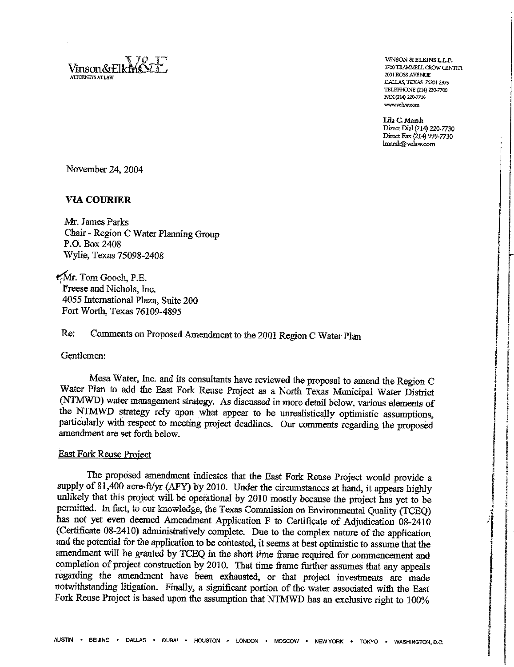Vinson&Elk **ATTORNEYS ATT AW** 

VINSON & ELKINS L.L.P. 3700 TRAMMELL CROW CENTER 2001 ROSS AVENUE DALLAS, TEXAS 75201-2975 TELEPHONE (214) 220-7700 FAX (214) 220-7716 www.velaw.com

Lila C. Marsh Direct Dial (214) 220-7730 Direct Fax (214) 999-7730 lmarsh@velaw.com

November 24, 2004

### **VIA COURIER**

Mr. James Parks Chair - Region C Water Planning Group P.O. Box 2408 Wylie, Texas 75098-2408

Mr. Tom Gooch, P.E. Freese and Nichols, Inc. 4055 International Plaza, Suite 200 Fort Worth, Texas 76109-4895

#### Re: Comments on Proposed Amendment to the 2001 Region C Water Plan

Gentlemen:

Mesa Water, Inc. and its consultants have reviewed the proposal to amend the Region C Water Plan to add the East Fork Reuse Project as a North Texas Municipal Water District (NTMWD) water management strategy. As discussed in more detail below, various elements of the NTMWD strategy rely upon what appear to be unrealistically optimistic assumptions, particularly with respect to meeting project deadlines. Our comments regarding the proposed amendment are set forth below.

#### **East Fork Reuse Project**

The proposed amendment indicates that the East Fork Reuse Project would provide a supply of 81,400 acre-ft/yr (AFY) by 2010. Under the circumstances at hand, it appears highly unlikely that this project will be operational by 2010 mostly because the project has yet to be permitted. In fact, to our knowledge, the Texas Commission on Environmental Quality (TCEQ) has not yet even deemed Amendment Application F to Certificate of Adjudication 08-2410 (Certificate 08-2410) administratively complete. Due to the complex nature of the application and the potential for the application to be contested, it seems at best optimistic to assume that the amendment will be granted by TCEQ in the short time frame required for commencement and completion of project construction by 2010. That time frame further assumes that any appeals regarding the amendment have been exhausted, or that project investments are made notwithstanding litigation. Finally, a significant portion of the water associated with the East Fork Reuse Project is based upon the assumption that NTMWD has an exclusive right to 100%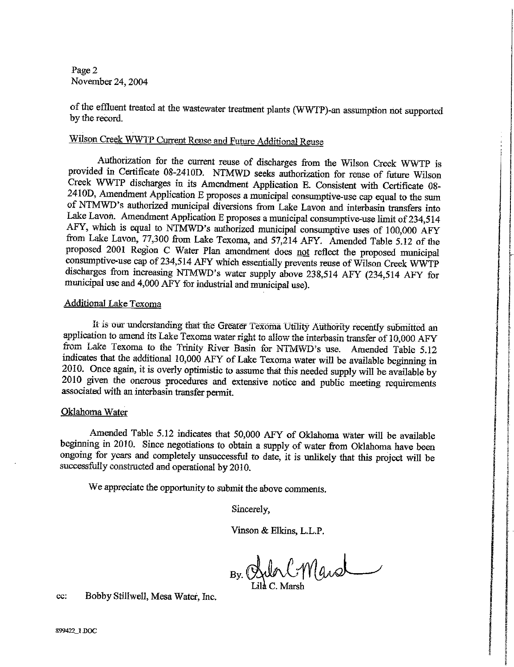Page 2 November 24, 2004

of the effluent treated at the wastewater treatment plants (WWTP)-an assumption not supported by the record.

# Wilson Creek WWTP Current Reuse and Future Additional Reuse

Authorization for the current reuse of discharges from the Wilson Creek WWTP is provided in Certificate 08-2410D. NTMWD seeks authorization for reuse of future Wilson Creek WWTP discharges in its Amendment Application E. Consistent with Certificate 08-2410D, Amendment Application E proposes a municipal consumptive-use cap equal to the sum of NTMWD's authorized municipal diversions from Lake Lavon and interbasin transfers into Lake Lavon. Amendment Application E proposes a municipal consumptive-use limit of 234,514 AFY, which is equal to NTMWD's authorized municipal consumptive uses of 100,000 AFY from Lake Lavon, 77,300 from Lake Texoma, and 57,214 AFY. Amended Table 5.12 of the proposed 2001 Region C Water Plan amendment does not reflect the proposed municipal consumptive-use cap of 234,514 AFY which essentially prevents reuse of Wilson Creek WWTP discharges from increasing NTMWD's water supply above 238,514 AFY (234,514 AFY for municipal use and 4,000 AFY for industrial and municipal use).

### **Additional Lake Texoma**

It is our understanding that the Greater Texoma Utility Authority recently submitted an application to amend its Lake Texoma water right to allow the interbasin transfer of 10,000 AFY from Lake Texoma to the Trinity River Basin for NTMWD's use. Amended Table 5.12 indicates that the additional 10,000 AFY of Lake Texoma water will be available beginning in 2010. Once again, it is overly optimistic to assume that this needed supply will be available by 2010 given the onerous procedures and extensive notice and public meeting requirements associated with an interbasin transfer permit.

### Oklahoma Water

Amended Table 5.12 indicates that 50,000 AFY of Oklahoma water will be available beginning in 2010. Since negotiations to obtain a supply of water from Oklahoma have been ongoing for years and completely unsuccessful to date, it is unlikely that this project will be successfully constructed and operational by 2010.

We appreciate the opportunity to submit the above comments.

Sincerely,

Vinson & Elkins, L.L.P.

By Bulg C. March

Bobby Stillwell, Mesa Water, Inc. cc: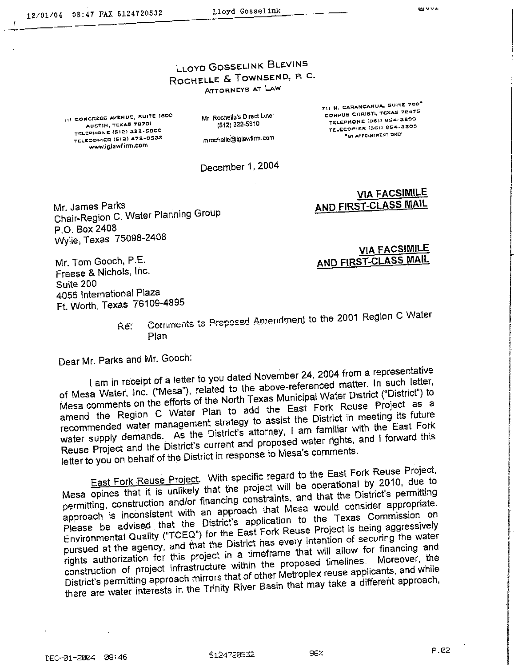# **LLOYD GOSSELINK BLEVINS** ROCHELLE & TOWNSEND, P. C. ATTORNEYS AT LAW

111 CONGRESS AVENUE, SUITE 1800 AUSTIN, TEXAS 78701 TELEPHONE (512) 322-5800 TELECOPIER (SIZ) 472-0532 www.iglawfirm.com

Mr Rochelle's Direct Line\* (512) 322-5810

711 N. CARANCAHUA, SUITE 700<sup>\*</sup> CORPUS CHRISTS, TEXAS 78475 TELEPHONE (361) 654-3200 TELECOPIER (361) 654-3203 "BY APPOINTMENT ONLY

mrochelle@lglawfirm.com

December 1, 2004

Mr. James Parks Chair-Region C. Water Planning Group P.O. Box 2408 Wylie, Texas 75098-2408

**VIA FACSIMILE** AND FIRST-CLASS MAIL

**VIA FACSIMILE** AND FIRST-CLASS MAIL

Mr. Tom Gooch, P.E. Freese & Nichols, Inc. Suite 200 4055 International Plaza Ft. Worth, Texas 76109-4895

Comments to Proposed Amendment to the 2001 Region C Water Re: Plan

Dear Mr. Parks and Mr. Gooch:

I am in receipt of a letter to you dated November 24, 2004 from a representative of Mesa Water, Inc. ("Mesa"), related to the above-referenced matter. In such letter, Mesa comments on the efforts of the North Texas Municipal Water District ("District") to amend the Region C Water Plan to add the East Fork Reuse Project as a recommended water management strategy to assist the District in meeting its future water supply demands. As the District's attorney, I am familiar with the East Fork Reuse Project and the District's current and proposed water rights, and I forward this letter to you on behalf of the District in response to Mesa's comments.

East Fork Reuse Project. With specific regard to the East Fork Reuse Project, Mesa opines that it is unlikely that the project will be operational by 2010, due to permitting, construction and/or financing constraints, and that the District's permitting approach is inconsistent with an approach that Mesa would consider appropriate. Please be advised that the District's application to the Texas Commission on Environmental Quality ("TCEQ") for the East Fork Reuse Project is being aggressively pursued at the agency, and that the District has every intention of securing the water rights authorization for this project in a timeframe that will allow for financing and construction of project infrastructure within the proposed timelines. District's permitting approach mirrors that of other Metroplex reuse applicants, and while there are water interests in the Trinity River Basin that may take a different approach,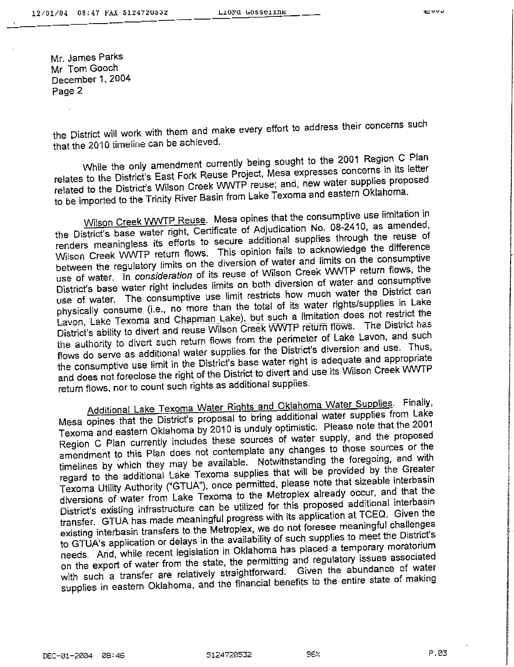Mr. James Parks Mr Tom Gooch December 1, 2004 Page 2

the District will work with them and make every effort to address their concerns such that the 2010 timeline can be achieved.

While the only amendment currently being sought to the 2001 Region C Plan relates to the District's East Fork Reuse Project, Mesa expresses concerns in its letter related to the District's Wilson Creek WWTP reuse; and, new water supplies proposed to be imported to the Trinity River Basin from Lake Texoma and eastern Oklahoma.

Wilson Creek WWTP Reuse. Mesa opines that the consumptive use limitation in the District's base water right, Certificate of Adjudication No. 08-2410, as amended, renders meaningless its efforts to secure additional supplies through the reuse of Wilson Creek WWTP return flows. This opinion fails to acknowledge the difference between the regulatory limits on the diversion of water and limits on the consumptive use of water. In consideration of its reuse of Wilson Creek WWTP return flows, the District's base water right includes limits on both diversion of water and consumptive use of water. The consumptive use limit restricts how much water the District can physically consume (i.e., no more than the total of its water rights/supplies in Lake Lavon, Lake Texoma and Chapman Lake), but such a limitation does not restrict the District's ability to divert and reuse Wilson Creek WWTP return flows. The District has the authority to divert such return flows from the perimeter of Lake Lavon, and such flows do serve as additional water supplies for the District's diversion and use. Thus, the consumptive use limit in the District's base water right is adequate and appropriate and does not foreclose the right of the District to divert and use its Wilson Creek WWTP return flows, nor to count such rights as additional supplies.

Additional Lake Texoma Water Rights and Oklahoma Water Supplies. Finally, Mesa opines that the District's proposal to bring additional water supplies from Lake Texoma and eastern Oklahoma by 2010 is unduly optimistic. Please note that the 2001 Region C Plan currently includes these sources of water supply, and the proposed amendment to this Plan does not contemplate any changes to those sources or the timelines by which they may be available. Notwithstanding the foregoing, and with regard to the additional Lake Texoma supplies that will be provided by the Greater Texoma Utility Authority ("GTUA"), once permitted, please note that sizeable interbasin diversions of water from Lake Texoma to the Metroplex already occur, and that the District's existing infrastructure can be utilized for this proposed additional interbasin transfer. GTUA has made meaningful progress with its application at TCEQ. Given the existing interbasin transfers to the Metroplex, we do not foresee meaningful challenges to GTUA's application or delays in the availability of such supplies to meet the District's needs. And, while recent legislation in Oklahoma has placed a temporary moratorium on the export of water from the state, the permitting and regulatory issues associated with such a transfer are relatively straightforward. Given the abundance of water supplies in eastern Oklahoma, and the financial benefits to the entire state of making

P.03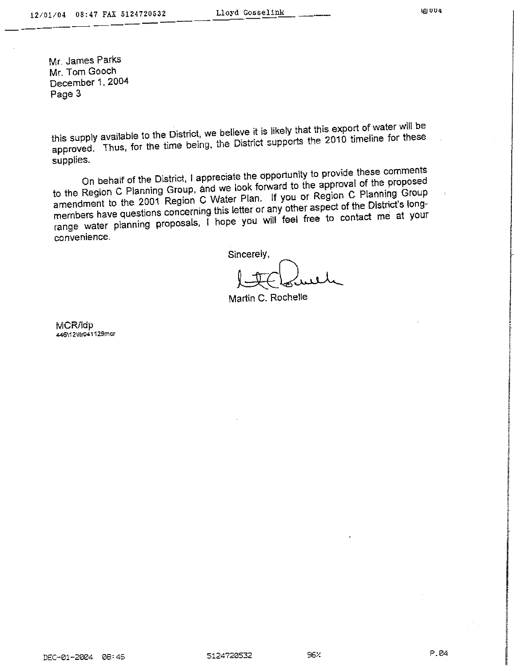Mr. James Parks Mr. Tom Gooch December 1, 2004 Page 3

this supply available to the District, we believe it is likely that this export of water will be approved. Thus, for the time being, the District supports the 2010 timeline for these supplies.

On behalf of the District, I appreciate the opportunity to provide these comments to the Region C Planning Group, and we look forward to the approval of the proposed amendment to the 2001 Region C Water Plan. If you or Region C Planning Group members have questions concerning this letter or any other aspect of the District's longrange water planning proposals, I hope you will feel free to contact me at your convenience.

Sincerely,

Martin C. Rochelle

MCR/idp 446\12\tin041129mcr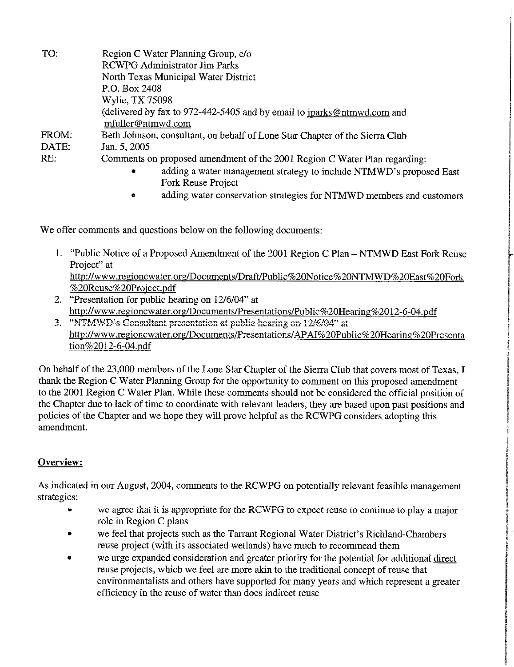| TO:   | Region C Water Planning Group, c/o                                               |
|-------|----------------------------------------------------------------------------------|
|       | <b>RCWPG Administrator Jim Parks</b>                                             |
|       | North Texas Municipal Water District                                             |
|       | P.O. Box 2408                                                                    |
|       | Wylie, TX 75098                                                                  |
|       | (delivered by fax to 972-442-5405 and by email to jparks@ntmwd.com and           |
|       | mfuller@ntmwd.com                                                                |
| FROM: | Beth Johnson, consultant, on behalf of Lone Star Chapter of the Sierra Club      |
| DATE: | Jan. 5, 2005                                                                     |
| RE:   | Comments on proposed amendment of the 2001 Region C Water Plan regarding:        |
|       | adding a water management strategy to include NTMWD's proposed East<br>$\bullet$ |
|       |                                                                                  |

- Fork Reuse Project
- adding water conservation strategies for NTMWD members and customers

We offer comments and questions below on the following documents:

- 1. "Public Notice of a Proposed Amendment of the 2001 Region C Plan NTMWD East Fork Reuse Project" at http://www.regioncwater.org/Documents/Draft/Public%20Notice%20NTMWD%20East%20Fork %20Reuse%20Project.pdf
- 2. "Presentation for public hearing on 12/6/04" at http://www.regioncwater.org/Documents/Presentations/Public%20Hearing%2012-6-04.pdf
- 3. "NTMWD's Consultant presentation at public hearing on 12/6/04" at http://www.regioncwater.org/Documents/Presentations/APAI%20Public%20Hearing%20Presenta tion%2012-6-04.pdf

On behalf of the 23,000 members of the Lone Star Chapter of the Sierra Club that covers most of Texas, I thank the Region C Water Planning Group for the opportunity to comment on this proposed amendment to the 2001 Region C Water Plan. While these comments should not be considered the official position of the Chapter due to lack of time to coordinate with relevant leaders, they are based upon past positions and policies of the Chapter and we hope they will prove helpful as the RCWPG considers adopting this amendment.

# Overview:

As indicated in our August, 2004, comments to the RCWPG on potentially relevant feasible management strategies:

- we agree that it is appropriate for the RCWPG to expect reuse to continue to play a major role in Region C plans
- we feel that projects such as the Tarrant Regional Water District's Richland-Chambers reuse project (with its associated wetlands) have much to recommend them
- we urge expanded consideration and greater priority for the potential for additional direct reuse projects, which we feel are more akin to the traditional concept of reuse that environmentalists and others have supported for many years and which represent a greater efficiency in the reuse of water than does indirect reuse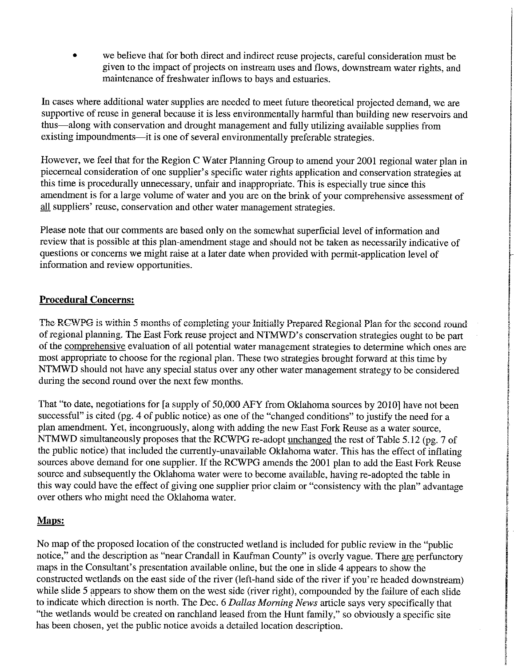we believe that for both direct and indirect reuse projects, careful consideration must be given to the impact of projects on instream uses and flows, downstream water rights, and maintenance of freshwater inflows to bays and estuaries.

In cases where additional water supplies are needed to meet future theoretical projected demand, we are supportive of reuse in general because it is less environmentally harmful than building new reservoirs and thus—along with conservation and drought management and fully utilizing available supplies from existing impoundments—it is one of several environmentally preferable strategies.

However, we feel that for the Region C Water Planning Group to amend your 2001 regional water plan in piecemeal consideration of one supplier's specific water rights application and conservation strategies at this time is procedurally unnecessary, unfair and inappropriate. This is especially true since this amendment is for a large volume of water and you are on the brink of your comprehensive assessment of all suppliers' reuse, conservation and other water management strategies.

Please note that our comments are based only on the somewhat superficial level of information and review that is possible at this plan-amendment stage and should not be taken as necessarily indicative of questions or concerns we might raise at a later date when provided with permit-application level of information and review opportunities.

# **Procedural Concerns:**

The RCWPG is within 5 months of completing your Initially Prepared Regional Plan for the second round of regional planning. The East Fork reuse project and NTMWD's conservation strategies ought to be part of the comprehensive evaluation of all potential water management strategies to determine which ones are most appropriate to choose for the regional plan. These two strategies brought forward at this time by NTMWD should not have any special status over any other water management strategy to be considered during the second round over the next few months.

That "to date, negotiations for [a supply of 50,000 AFY from Oklahoma sources by 2010] have not been successful" is cited (pg. 4 of public notice) as one of the "changed conditions" to justify the need for a plan amendment. Yet, incongruously, along with adding the new East Fork Reuse as a water source. NTMWD simultaneously proposes that the RCWPG re-adopt unchanged the rest of Table 5.12 (pg. 7 of the public notice) that included the currently-unavailable Oklahoma water. This has the effect of inflating sources above demand for one supplier. If the RCWPG amends the 2001 plan to add the East Fork Reuse source and subsequently the Oklahoma water were to become available, having re-adopted the table in this way could have the effect of giving one supplier prior claim or "consistency with the plan" advantage over others who might need the Oklahoma water.

# Maps:

No map of the proposed location of the constructed wetland is included for public review in the "public" notice," and the description as "near Crandall in Kaufman County" is overly vague. There are perfunctory maps in the Consultant's presentation available online, but the one in slide 4 appears to show the constructed wetlands on the east side of the river (left-hand side of the river if you're headed downstream) while slide 5 appears to show them on the west side (river right), compounded by the failure of each slide to indicate which direction is north. The Dec. 6 Dallas Morning News article says very specifically that "the wetlands would be created on ranchland leased from the Hunt family," so obviously a specific site has been chosen, yet the public notice avoids a detailed location description.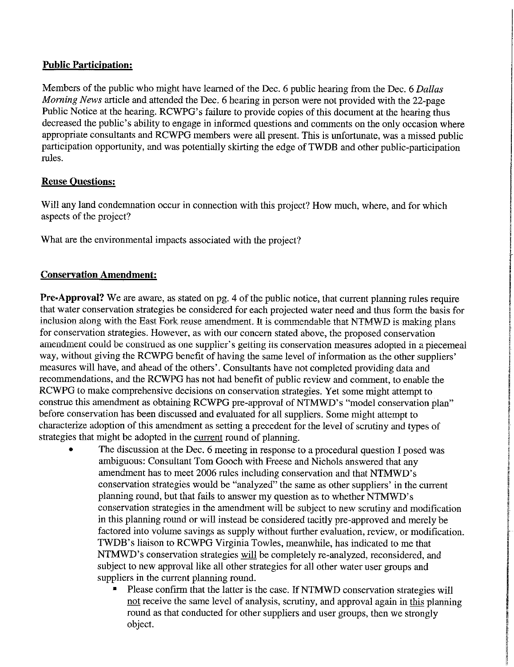# **Public Participation:**

Members of the public who might have learned of the Dec. 6 public hearing from the Dec. 6 Dallas Morning News article and attended the Dec. 6 hearing in person were not provided with the 22-page Public Notice at the hearing. RCWPG's failure to provide copies of this document at the hearing thus decreased the public's ability to engage in informed questions and comments on the only occasion where appropriate consultants and RCWPG members were all present. This is unfortunate, was a missed public participation opportunity, and was potentially skirting the edge of TWDB and other public-participation rules.

# **Reuse Questions:**

Will any land condemnation occur in connection with this project? How much, where, and for which aspects of the project?

What are the environmental impacts associated with the project?

# **Conservation Amendment:**

Pre-Approval? We are aware, as stated on pg. 4 of the public notice, that current planning rules require that water conservation strategies be considered for each projected water need and thus form the basis for inclusion along with the East Fork reuse amendment. It is commendable that NTMWD is making plans for conservation strategies. However, as with our concern stated above, the proposed conservation amendment could be construed as one supplier's getting its conservation measures adopted in a piecemeal way, without giving the RCWPG benefit of having the same level of information as the other suppliers' measures will have, and ahead of the others'. Consultants have not completed providing data and recommendations, and the RCWPG has not had benefit of public review and comment, to enable the RCWPG to make comprehensive decisions on conservation strategies. Yet some might attempt to construe this amendment as obtaining RCWPG pre-approval of NTMWD's "model conservation plan" before conservation has been discussed and evaluated for all suppliers. Some might attempt to characterize adoption of this amendment as setting a precedent for the level of scrutiny and types of strategies that might be adopted in the current round of planning.

- The discussion at the Dec. 6 meeting in response to a procedural question I posed was ambiguous: Consultant Tom Gooch with Freese and Nichols answered that any amendment has to meet 2006 rules including conservation and that NTMWD's conservation strategies would be "analyzed" the same as other suppliers' in the current planning round, but that fails to answer my question as to whether NTMWD's conservation strategies in the amendment will be subject to new scrutiny and modification in this planning round or will instead be considered tacitly pre-approved and merely be factored into volume savings as supply without further evaluation, review, or modification. TWDB's liaison to RCWPG Virginia Towles, meanwhile, has indicated to me that NTMWD's conservation strategies will be completely re-analyzed, reconsidered, and subject to new approval like all other strategies for all other water user groups and suppliers in the current planning round.
	- Please confirm that the latter is the case. If NTMWD conservation strategies will not receive the same level of analysis, scrutiny, and approval again in this planning round as that conducted for other suppliers and user groups, then we strongly object.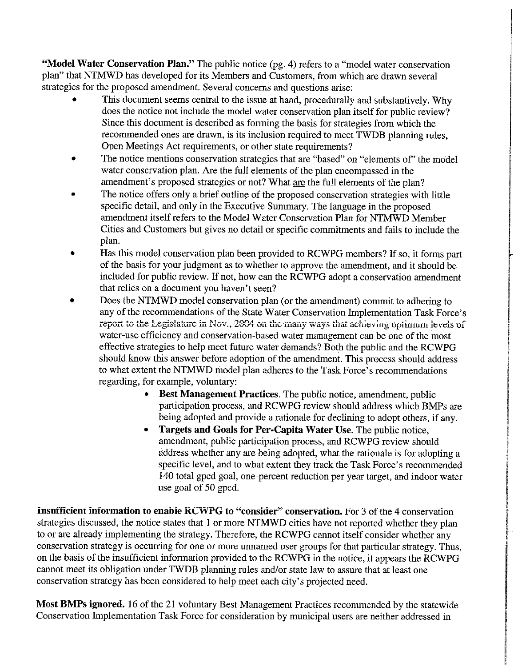"Model Water Conservation Plan." The public notice (pg. 4) refers to a "model water conservation plan" that NTMWD has developed for its Members and Customers, from which are drawn several strategies for the proposed amendment. Several concerns and questions arise:

- This document seems central to the issue at hand, procedurally and substantively. Why does the notice not include the model water conservation plan itself for public review? Since this document is described as forming the basis for strategies from which the recommended ones are drawn, is its inclusion required to meet TWDB planning rules, Open Meetings Act requirements, or other state requirements?
- The notice mentions conservation strategies that are "based" on "elements of" the model water conservation plan. Are the full elements of the plan encompassed in the amendment's proposed strategies or not? What are the full elements of the plan?
- The notice offers only a brief outline of the proposed conservation strategies with little specific detail, and only in the Executive Summary. The language in the proposed amendment itself refers to the Model Water Conservation Plan for NTMWD Member Cities and Customers but gives no detail or specific commitments and fails to include the plan.
- Has this model conservation plan been provided to RCWPG members? If so, it forms part of the basis for your judgment as to whether to approve the amendment, and it should be included for public review. If not, how can the RCWPG adopt a conservation amendment that relies on a document you haven't seen?
- Does the NTMWD model conservation plan (or the amendment) commit to adhering to any of the recommendations of the State Water Conservation Implementation Task Force's report to the Legislature in Nov., 2004 on the many ways that achieving optimum levels of water-use efficiency and conservation-based water management can be one of the most effective strategies to help meet future water demands? Both the public and the RCWPG should know this answer before adoption of the amendment. This process should address to what extent the NTMWD model plan adheres to the Task Force's recommendations regarding, for example, voluntary:
	- Best Management Practices. The public notice, amendment, public participation process, and RCWPG review should address which BMPs are being adopted and provide a rationale for declining to adopt others, if any.
	- Targets and Goals for Per-Capita Water Use. The public notice, amendment, public participation process, and RCWPG review should address whether any are being adopted, what the rationale is for adopting a specific level, and to what extent they track the Task Force's recommended 140 total gpcd goal, one-percent reduction per year target, and indoor water use goal of 50 gpcd.

Insufficient information to enable RCWPG to "consider" conservation. For 3 of the 4 conservation strategies discussed, the notice states that 1 or more NTMWD cities have not reported whether they plan to or are already implementing the strategy. Therefore, the RCWPG cannot itself consider whether any conservation strategy is occurring for one or more unnamed user groups for that particular strategy. Thus, on the basis of the insufficient information provided to the RCWPG in the notice, it appears the RCWPG cannot meet its obligation under TWDB planning rules and/or state law to assure that at least one conservation strategy has been considered to help meet each city's projected need.

Most BMPs ignored. 16 of the 21 voluntary Best Management Practices recommended by the statewide Conservation Implementation Task Force for consideration by municipal users are neither addressed in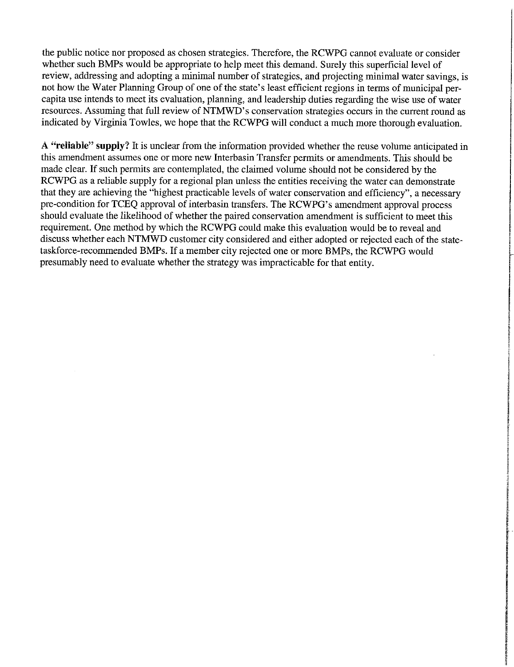the public notice nor proposed as chosen strategies. Therefore, the RCWPG cannot evaluate or consider whether such BMPs would be appropriate to help meet this demand. Surely this superficial level of review, addressing and adopting a minimal number of strategies, and projecting minimal water savings, is not how the Water Planning Group of one of the state's least efficient regions in terms of municipal percapita use intends to meet its evaluation, planning, and leadership duties regarding the wise use of water resources. Assuming that full review of NTMWD's conservation strategies occurs in the current round as indicated by Virginia Towles, we hope that the RCWPG will conduct a much more thorough evaluation.

A "reliable" supply? It is unclear from the information provided whether the reuse volume anticipated in this amendment assumes one or more new Interbasin Transfer permits or amendments. This should be made clear. If such permits are contemplated, the claimed volume should not be considered by the RCWPG as a reliable supply for a regional plan unless the entities receiving the water can demonstrate that they are achieving the "highest practicable levels of water conservation and efficiency", a necessary pre-condition for TCEO approval of interbasin transfers. The RCWPG's amendment approval process should evaluate the likelihood of whether the paired conservation amendment is sufficient to meet this requirement. One method by which the RCWPG could make this evaluation would be to reveal and discuss whether each NTMWD customer city considered and either adopted or rejected each of the statetaskforce-recommended BMPs. If a member city rejected one or more BMPs, the RCWPG would presumably need to evaluate whether the strategy was impracticable for that entity.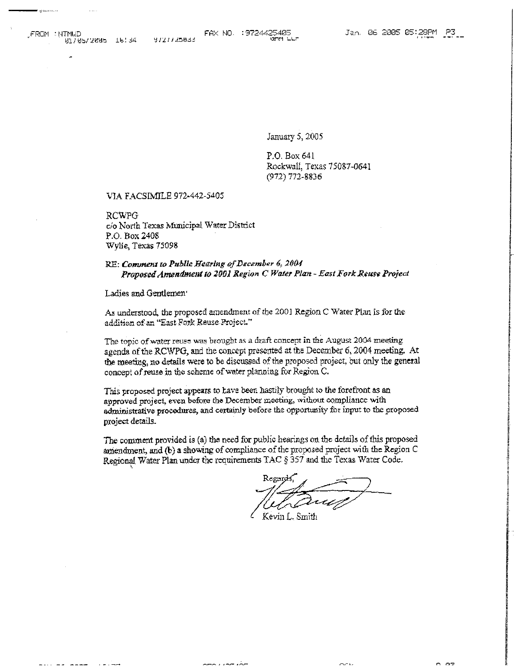$- - -$ 

January 5, 2005

P.O. Box 641 Rockwall, Texas 75087-0641 (972) 772-8836

VIA FACSIMILE 972-442-5405

RCWPG c/o North Texas Municipal Water District P.O. Box 2408 Wylie, Texas 75098

#### RE: Comment to Public Hearing of December 6, 2004 Proposed Amendment to 2001 Region C Water Plan - East Fork Reuse Project

Ladies and Gentlemen<sup>®</sup>

As understood, the proposed amendment of the 2001 Region C Water Plan is for the addition of an "East Fork Reuse Project."

The topic of water reuse was brought as a draft concept in the August 2004 meeting agenda of the RCWPG, and the concept presented at the December 6, 2004 meeting. At the meeting, no details were to be discussed of the proposed project, but only the general concept of reuse in the scheme of water planning for Region C.

This proposed project appears to have been hastily brought to the forefront as an approved project, even before the December meeting, without compliance with administrative procedures, and certainly before the opportunity for input to the proposed project details.

The comment provided is (a) the need for public hearings on the details of this proposed amendment, and (b) a showing of compliance of the proposed project with the Region C Regional Water Plan under the requirements TAC § 357 and the Texas Water Code.

 $\sim$   $\sim$   $\sim$   $\sim$   $\sim$   $\sim$ 

 $\sim$ 

n oz

Kevin L. Smith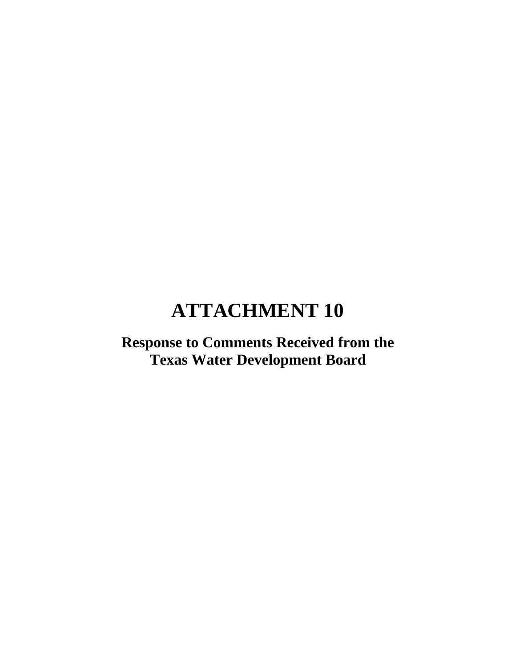# **Response to Comments Received from the Texas Water Development Board**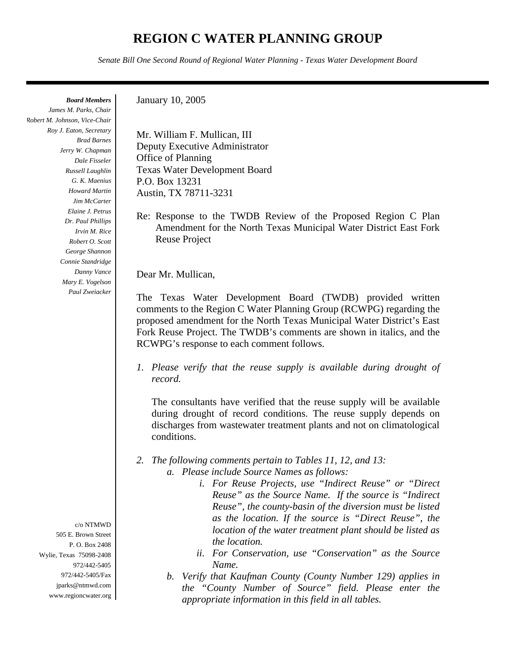# **REGION C WATER PLANNING GROUP**

*Senate Bill One Second Round of Regional Water Planning - Texas Water Development Board*

*Board Members*

*James M. Parks, Chair Robert M. Johnson, Vice-Chair Roy J. Eaton, Secretary Brad Barnes Jerry W. Chapman Dale Fisseler Russell Laughlin G. K. Maenius Howard Martin Jim McCarter Elaine J. Petrus Dr. Paul Phillips Irvin M. Rice Robert O. Scott George Shannon Connie Standridge Danny Vance Mary E. Vogelson Paul Zweiacker*

> c/o NTMWD 505 E. Brown Street P. O. Box 2408 Wylie, Texas 75098-2408 972/442-5405 972/442-5405/Fax jparks@ntmwd.com www.regioncwater.org

January 10, 2005

Mr. William F. Mullican, III Deputy Executive Administrator Office of Planning Texas Water Development Board P.O. Box 13231 Austin, TX 78711-3231

Re: Response to the TWDB Review of the Proposed Region C Plan Amendment for the North Texas Municipal Water District East Fork Reuse Project

Dear Mr. Mullican,

The Texas Water Development Board (TWDB) provided written comments to the Region C Water Planning Group (RCWPG) regarding the proposed amendment for the North Texas Municipal Water District's East Fork Reuse Project. The TWDB's comments are shown in italics, and the RCWPG's response to each comment follows.

*1. Please verify that the reuse supply is available during drought of record.*

The consultants have verified that the reuse supply will be available during drought of record conditions. The reuse supply depends on discharges from wastewater treatment plants and not on climatological conditions.

- *2. The following comments pertain to Tables 11, 12, and 13: a. Please include Source Names as follows:*
	- *i. For Reuse Projects, use "Indirect Reuse" or "Direct Reuse" as the Source Name. If the source is "Indirect Reuse", the county-basin of the diversion must be listed as the location. If the source is "Direct Reuse", the location of the water treatment plant should be listed as the location.*
	- *ii. For Conservation, use "Conservation" as the Source Name.*
	- *b. Verify that Kaufman County (County Number 129) applies in the "County Number of Source" field. Please enter the appropriate information in this field in all tables.*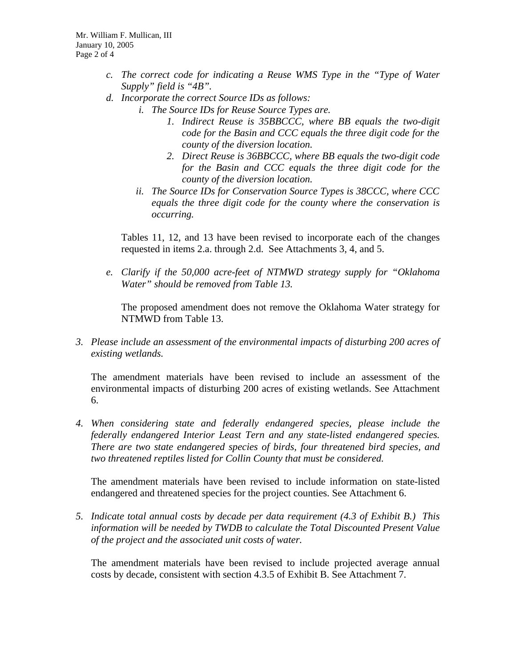- *c. The correct code for indicating a Reuse WMS Type in the "Type of Water Supply" field is "4B".*
- *d. Incorporate the correct Source IDs as follows:*
	- *i. The Source IDs for Reuse Source Types are.* 
		- *1. Indirect Reuse is 35BBCCC, where BB equals the two-digit code for the Basin and CCC equals the three digit code for the county of the diversion location.*
		- *2. Direct Reuse is 36BBCCC, where BB equals the two-digit code for the Basin and CCC equals the three digit code for the county of the diversion location.*
	- *ii. The Source IDs for Conservation Source Types is 38CCC, where CCC equals the three digit code for the county where the conservation is occurring.*

Tables 11, 12, and 13 have been revised to incorporate each of the changes requested in items 2.a. through 2.d. See Attachments 3, 4, and 5.

*e. Clarify if the 50,000 acre-feet of NTMWD strategy supply for "Oklahoma Water" should be removed from Table 13.*

The proposed amendment does not remove the Oklahoma Water strategy for NTMWD from Table 13.

*3. Please include an assessment of the environmental impacts of disturbing 200 acres of existing wetlands.*

The amendment materials have been revised to include an assessment of the environmental impacts of disturbing 200 acres of existing wetlands. See Attachment 6.

*4. When considering state and federally endangered species, please include the federally endangered Interior Least Tern and any state-listed endangered species. There are two state endangered species of birds, four threatened bird species, and two threatened reptiles listed for Collin County that must be considered.*

The amendment materials have been revised to include information on state-listed endangered and threatened species for the project counties. See Attachment 6.

*5. Indicate total annual costs by decade per data requirement (4.3 of Exhibit B.) This information will be needed by TWDB to calculate the Total Discounted Present Value of the project and the associated unit costs of water.*

The amendment materials have been revised to include projected average annual costs by decade, consistent with section 4.3.5 of Exhibit B. See Attachment 7.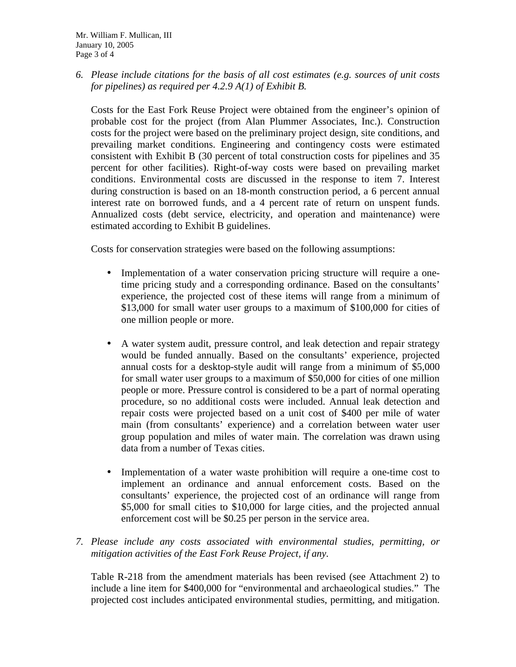*6. Please include citations for the basis of all cost estimates (e.g. sources of unit costs for pipelines) as required per 4.2.9 A(1) of Exhibit B.*

Costs for the East Fork Reuse Project were obtained from the engineer's opinion of probable cost for the project (from Alan Plummer Associates, Inc.). Construction costs for the project were based on the preliminary project design, site conditions, and prevailing market conditions. Engineering and contingency costs were estimated consistent with Exhibit B (30 percent of total construction costs for pipelines and 35 percent for other facilities). Right-of-way costs were based on prevailing market conditions. Environmental costs are discussed in the response to item 7. Interest during construction is based on an 18-month construction period, a 6 percent annual interest rate on borrowed funds, and a 4 percent rate of return on unspent funds. Annualized costs (debt service, electricity, and operation and maintenance) were estimated according to Exhibit B guidelines.

Costs for conservation strategies were based on the following assumptions:

- Implementation of a water conservation pricing structure will require a onetime pricing study and a corresponding ordinance. Based on the consultants' experience, the projected cost of these items will range from a minimum of \$13,000 for small water user groups to a maximum of \$100,000 for cities of one million people or more.
- A water system audit, pressure control, and leak detection and repair strategy would be funded annually. Based on the consultants' experience, projected annual costs for a desktop-style audit will range from a minimum of \$5,000 for small water user groups to a maximum of \$50,000 for cities of one million people or more. Pressure control is considered to be a part of normal operating procedure, so no additional costs were included. Annual leak detection and repair costs were projected based on a unit cost of \$400 per mile of water main (from consultants' experience) and a correlation between water user group population and miles of water main. The correlation was drawn using data from a number of Texas cities.
- Implementation of a water waste prohibition will require a one-time cost to implement an ordinance and annual enforcement costs. Based on the consultants' experience, the projected cost of an ordinance will range from \$5,000 for small cities to \$10,000 for large cities, and the projected annual enforcement cost will be \$0.25 per person in the service area.
- *7. Please include any costs associated with environmental studies, permitting, or mitigation activities of the East Fork Reuse Project, if any.*

Table R-218 from the amendment materials has been revised (see Attachment 2) to include a line item for \$400,000 for "environmental and archaeological studies." The projected cost includes anticipated environmental studies, permitting, and mitigation.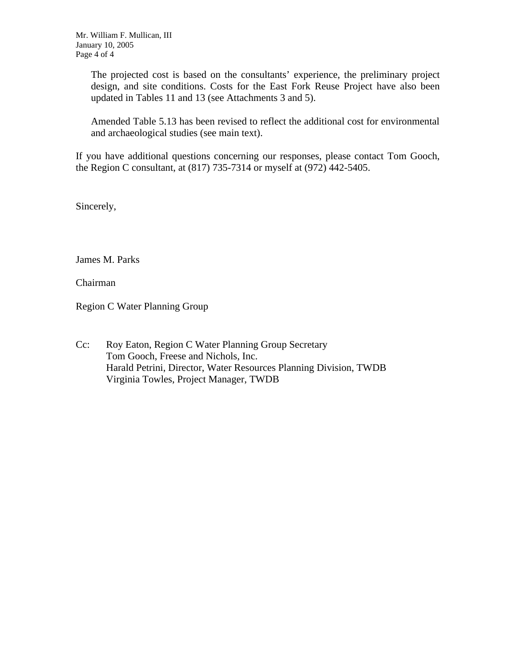The projected cost is based on the consultants' experience, the preliminary project design, and site conditions. Costs for the East Fork Reuse Project have also been updated in Tables 11 and 13 (see Attachments 3 and 5).

Amended Table 5.13 has been revised to reflect the additional cost for environmental and archaeological studies (see main text).

If you have additional questions concerning our responses, please contact Tom Gooch, the Region C consultant, at (817) 735-7314 or myself at (972) 442-5405.

Sincerely,

James M. Parks

Chairman

Region C Water Planning Group

Cc: Roy Eaton, Region C Water Planning Group Secretary Tom Gooch, Freese and Nichols, Inc. Harald Petrini, Director, Water Resources Planning Division, TWDB Virginia Towles, Project Manager, TWDB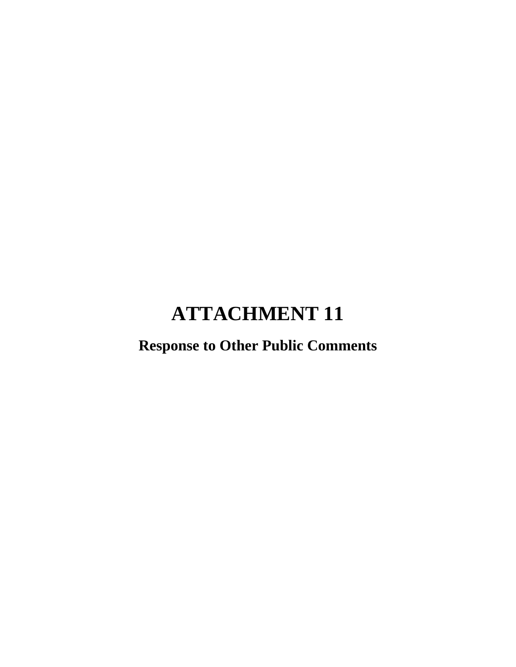# **Response to Other Public Comments**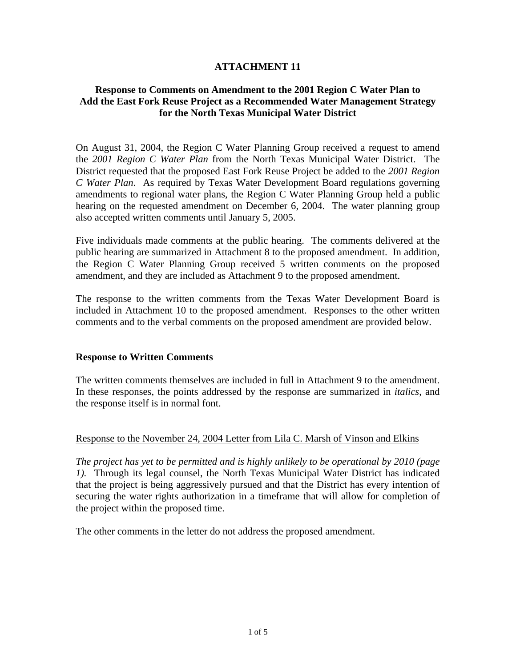## **Response to Comments on Amendment to the 2001 Region C Water Plan to Add the East Fork Reuse Project as a Recommended Water Management Strategy for the North Texas Municipal Water District**

On August 31, 2004, the Region C Water Planning Group received a request to amend the *2001 Region C Water Plan* from the North Texas Municipal Water District. The District requested that the proposed East Fork Reuse Project be added to the *2001 Region C Water Plan*. As required by Texas Water Development Board regulations governing amendments to regional water plans, the Region C Water Planning Group held a public hearing on the requested amendment on December 6, 2004. The water planning group also accepted written comments until January 5, 2005.

Five individuals made comments at the public hearing. The comments delivered at the public hearing are summarized in Attachment 8 to the proposed amendment. In addition, the Region C Water Planning Group received 5 written comments on the proposed amendment, and they are included as Attachment 9 to the proposed amendment.

The response to the written comments from the Texas Water Development Board is included in Attachment 10 to the proposed amendment. Responses to the other written comments and to the verbal comments on the proposed amendment are provided below.

## **Response to Written Comments**

The written comments themselves are included in full in Attachment 9 to the amendment. In these responses, the points addressed by the response are summarized in *italics*, and the response itself is in normal font.

## Response to the November 24, 2004 Letter from Lila C. Marsh of Vinson and Elkins

*The project has yet to be permitted and is highly unlikely to be operational by 2010 (page 1).* Through its legal counsel, the North Texas Municipal Water District has indicated that the project is being aggressively pursued and that the District has every intention of securing the water rights authorization in a timeframe that will allow for completion of the project within the proposed time.

The other comments in the letter do not address the proposed amendment.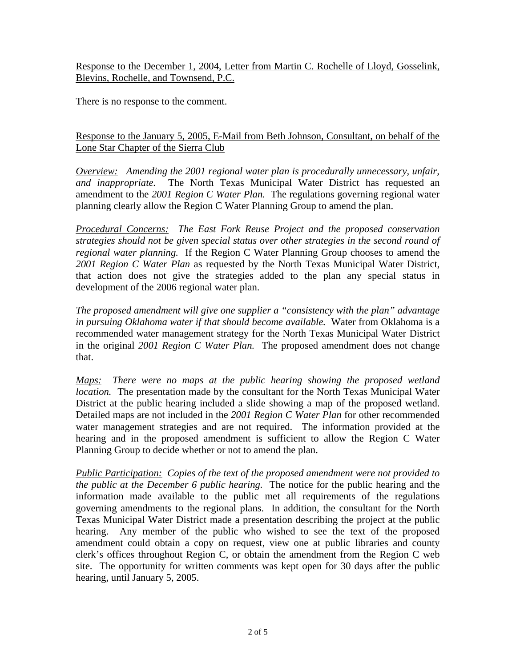Response to the December 1, 2004, Letter from Martin C. Rochelle of Lloyd, Gosselink, Blevins, Rochelle, and Townsend, P.C.

There is no response to the comment.

# Response to the January 5, 2005, E-Mail from Beth Johnson, Consultant, on behalf of the Lone Star Chapter of the Sierra Club

*Overview: Amending the 2001 regional water plan is procedurally unnecessary, unfair, and inappropriate.* The North Texas Municipal Water District has requested an amendment to the *2001 Region C Water Plan.* The regulations governing regional water planning clearly allow the Region C Water Planning Group to amend the plan.

*Procedural Concerns: The East Fork Reuse Project and the proposed conservation strategies should not be given special status over other strategies in the second round of regional water planning.* If the Region C Water Planning Group chooses to amend the *2001 Region C Water Plan* as requested by the North Texas Municipal Water District, that action does not give the strategies added to the plan any special status in development of the 2006 regional water plan.

*The proposed amendment will give one supplier a "consistency with the plan" advantage in pursuing Oklahoma water if that should become available.* Water from Oklahoma is a recommended water management strategy for the North Texas Municipal Water District in the original *2001 Region C Water Plan.* The proposed amendment does not change that.

*Maps: There were no maps at the public hearing showing the proposed wetland location.* The presentation made by the consultant for the North Texas Municipal Water District at the public hearing included a slide showing a map of the proposed wetland. Detailed maps are not included in the *2001 Region C Water Plan* for other recommended water management strategies and are not required. The information provided at the hearing and in the proposed amendment is sufficient to allow the Region C Water Planning Group to decide whether or not to amend the plan.

*Public Participation: Copies of the text of the proposed amendment were not provided to the public at the December 6 public hearing.* The notice for the public hearing and the information made available to the public met all requirements of the regulations governing amendments to the regional plans. In addition, the consultant for the North Texas Municipal Water District made a presentation describing the project at the public hearing. Any member of the public who wished to see the text of the proposed amendment could obtain a copy on request, view one at public libraries and county clerk's offices throughout Region C, or obtain the amendment from the Region C web site. The opportunity for written comments was kept open for 30 days after the public hearing, until January 5, 2005.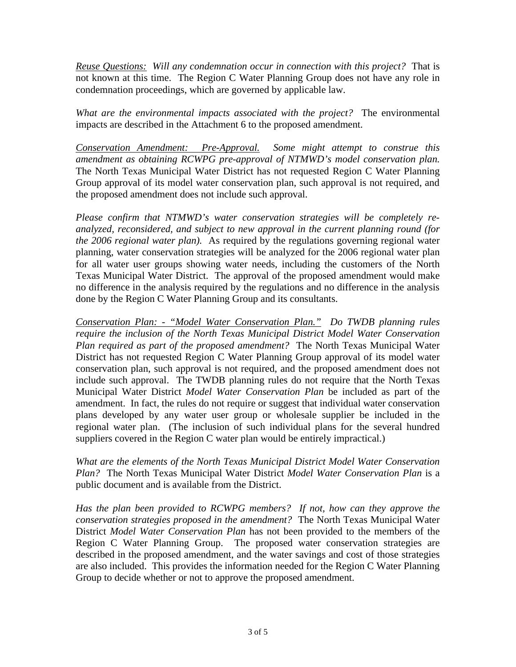*Reuse Questions: Will any condemnation occur in connection with this project?* That is not known at this time. The Region C Water Planning Group does not have any role in condemnation proceedings, which are governed by applicable law.

*What are the environmental impacts associated with the project?* The environmental impacts are described in the Attachment 6 to the proposed amendment.

*Conservation Amendment: Pre-Approval. Some might attempt to construe this amendment as obtaining RCWPG pre-approval of NTMWD's model conservation plan.* The North Texas Municipal Water District has not requested Region C Water Planning Group approval of its model water conservation plan, such approval is not required, and the proposed amendment does not include such approval.

*Please confirm that NTMWD's water conservation strategies will be completely reanalyzed, reconsidered, and subject to new approval in the current planning round (for the 2006 regional water plan).* As required by the regulations governing regional water planning, water conservation strategies will be analyzed for the 2006 regional water plan for all water user groups showing water needs, including the customers of the North Texas Municipal Water District. The approval of the proposed amendment would make no difference in the analysis required by the regulations and no difference in the analysis done by the Region C Water Planning Group and its consultants.

*Conservation Plan: - "Model Water Conservation Plan." Do TWDB planning rules require the inclusion of the North Texas Municipal District Model Water Conservation Plan required as part of the proposed amendment?* The North Texas Municipal Water District has not requested Region C Water Planning Group approval of its model water conservation plan, such approval is not required, and the proposed amendment does not include such approval. The TWDB planning rules do not require that the North Texas Municipal Water District *Model Water Conservation Plan* be included as part of the amendment. In fact, the rules do not require or suggest that individual water conservation plans developed by any water user group or wholesale supplier be included in the regional water plan. (The inclusion of such individual plans for the several hundred suppliers covered in the Region C water plan would be entirely impractical.)

*What are the elements of the North Texas Municipal District Model Water Conservation Plan?* The North Texas Municipal Water District *Model Water Conservation Plan* is a public document and is available from the District.

*Has the plan been provided to RCWPG members? If not, how can they approve the conservation strategies proposed in the amendment?* The North Texas Municipal Water District *Model Water Conservation Plan* has not been provided to the members of the Region C Water Planning Group. The proposed water conservation strategies are described in the proposed amendment, and the water savings and cost of those strategies are also included. This provides the information needed for the Region C Water Planning Group to decide whether or not to approve the proposed amendment.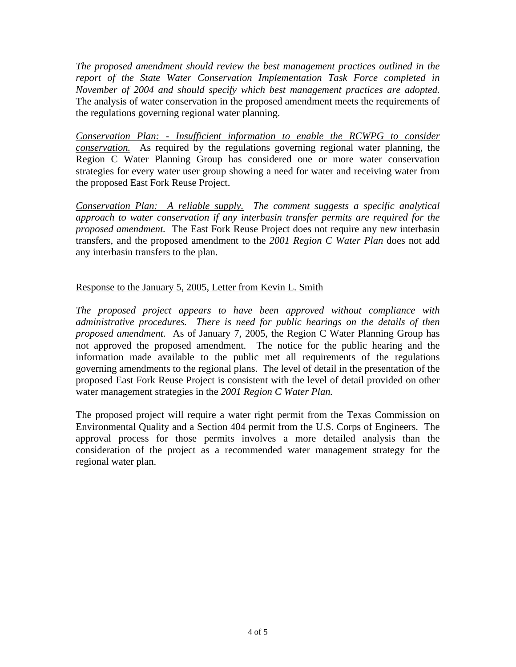*The proposed amendment should review the best management practices outlined in the report of the State Water Conservation Implementation Task Force completed in November of 2004 and should specify which best management practices are adopted.* The analysis of water conservation in the proposed amendment meets the requirements of the regulations governing regional water planning.

*Conservation Plan: - Insufficient information to enable the RCWPG to consider conservation.* As required by the regulations governing regional water planning, the Region C Water Planning Group has considered one or more water conservation strategies for every water user group showing a need for water and receiving water from the proposed East Fork Reuse Project.

*Conservation Plan: A reliable supply. The comment suggests a specific analytical approach to water conservation if any interbasin transfer permits are required for the proposed amendment.* The East Fork Reuse Project does not require any new interbasin transfers, and the proposed amendment to the *2001 Region C Water Plan* does not add any interbasin transfers to the plan.

# Response to the January 5, 2005, Letter from Kevin L. Smith

*The proposed project appears to have been approved without compliance with administrative procedures. There is need for public hearings on the details of then proposed amendment.* As of January 7, 2005, the Region C Water Planning Group has not approved the proposed amendment. The notice for the public hearing and the information made available to the public met all requirements of the regulations governing amendments to the regional plans. The level of detail in the presentation of the proposed East Fork Reuse Project is consistent with the level of detail provided on other water management strategies in the *2001 Region C Water Plan.*

The proposed project will require a water right permit from the Texas Commission on Environmental Quality and a Section 404 permit from the U.S. Corps of Engineers. The approval process for those permits involves a more detailed analysis than the consideration of the project as a recommended water management strategy for the regional water plan.